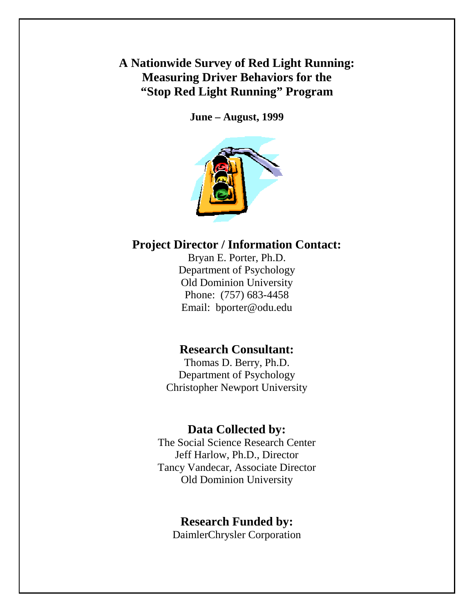**A Nationwide Survey of Red Light Running: Measuring Driver Behaviors for the "Stop Red Light Running" Program** 

**June – August, 1999** 



# **Project Director / Information Contact:**

Bryan E. Porter, Ph.D. Department of Psychology Old Dominion University Phone: (757) 683-4458 Email: bporter@odu.edu

# **Research Consultant:**

Thomas D. Berry, Ph.D. Department of Psychology Christopher Newport University

# **Data Collected by:**

The Social Science Research Center Jeff Harlow, Ph.D., Director Tancy Vandecar, Associate Director Old Dominion University

## **Research Funded by:**

DaimlerChrysler Corporation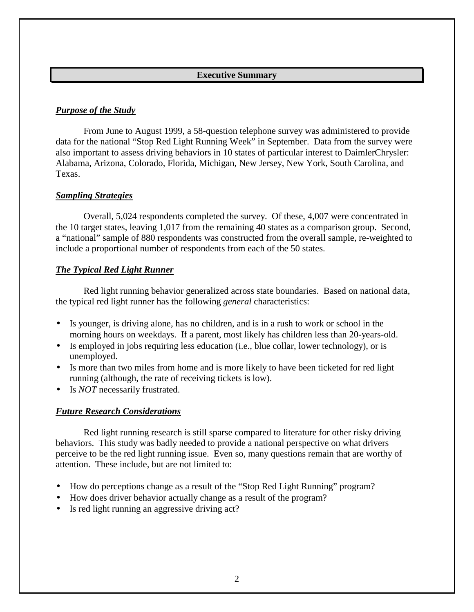#### **Executive Summary**

### <span id="page-1-0"></span>*Purpose of the Study*

 From June to August 1999, a 58-question telephone survey was administered to provide data for the national "Stop Red Light Running Week" in September. Data from the survey were also important to assess driving behaviors in 10 states of particular interest to DaimlerChrysler: Alabama, Arizona, Colorado, Florida, Michigan, New Jersey, New York, South Carolina, and Texas.

### *Sampling Strategies*

 Overall, 5,024 respondents completed the survey. Of these, 4,007 were concentrated in the 10 target states, leaving 1,017 from the remaining 40 states as a comparison group. Second, a "national" sample of 880 respondents was constructed from the overall sample, re-weighted to include a proportional number of respondents from each of the 50 states.

### *The Typical Red Light Runner*

 Red light running behavior generalized across state boundaries. Based on national data, the typical red light runner has the following *general* characteristics:

- Is younger, is driving alone, has no children, and is in a rush to work or school in the morning hours on weekdays. If a parent, most likely has children less than 20-years-old.
- Is employed in jobs requiring less education (i.e., blue collar, lower technology), or is unemployed.
- Is more than two miles from home and is more likely to have been ticketed for red light running (although, the rate of receiving tickets is low).
- Is *NOT* necessarily frustrated.

## *Future Research Considerations*

 Red light running research is still sparse compared to literature for other risky driving behaviors. This study was badly needed to provide a national perspective on what drivers perceive to be the red light running issue. Even so, many questions remain that are worthy of attention. These include, but are not limited to:

- How do perceptions change as a result of the "Stop Red Light Running" program?
- How does driver behavior actually change as a result of the program?
- Is red light running an aggressive driving act?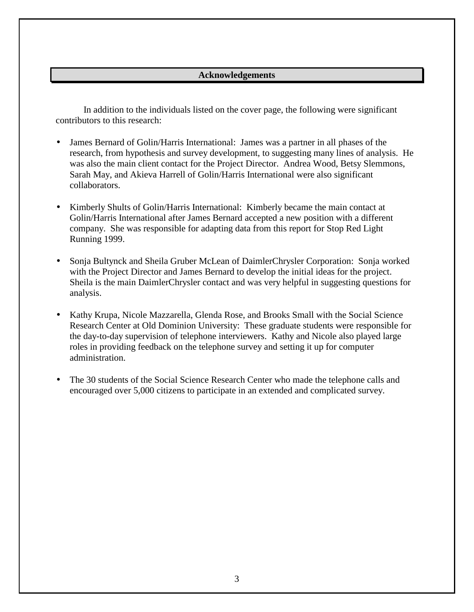#### **Acknowledgements**

<span id="page-2-0"></span> In addition to the individuals listed on the cover page, the following were significant contributors to this research:

- James Bernard of Golin/Harris International: James was a partner in all phases of the research, from hypothesis and survey development, to suggesting many lines of analysis. He was also the main client contact for the Project Director. Andrea Wood, Betsy Slemmons, Sarah May, and Akieva Harrell of Golin/Harris International were also significant collaborators.
- Kimberly Shults of Golin/Harris International: Kimberly became the main contact at Golin/Harris International after James Bernard accepted a new position with a different company. She was responsible for adapting data from this report for Stop Red Light Running 1999.
- Sonja Bultynck and Sheila Gruber McLean of DaimlerChrysler Corporation: Sonja worked with the Project Director and James Bernard to develop the initial ideas for the project. Sheila is the main DaimlerChrysler contact and was very helpful in suggesting questions for analysis.
- Kathy Krupa, Nicole Mazzarella, Glenda Rose, and Brooks Small with the Social Science Research Center at Old Dominion University: These graduate students were responsible for the day-to-day supervision of telephone interviewers. Kathy and Nicole also played large roles in providing feedback on the telephone survey and setting it up for computer administration.
- The 30 students of the Social Science Research Center who made the telephone calls and encouraged over 5,000 citizens to participate in an extended and complicated survey.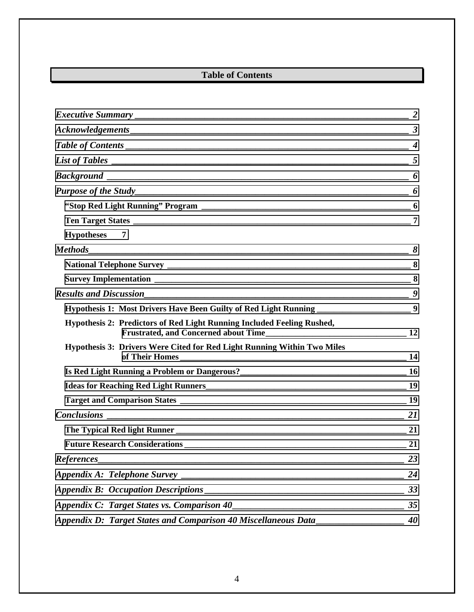# **Table of Contents**

| List of Tables $\qquad \qquad$ 5                                                           |    |
|--------------------------------------------------------------------------------------------|----|
|                                                                                            |    |
|                                                                                            |    |
|                                                                                            |    |
|                                                                                            |    |
| Hypotheses 7                                                                               |    |
|                                                                                            |    |
|                                                                                            |    |
|                                                                                            |    |
|                                                                                            |    |
| Hypothesis 1: Most Drivers Have Been Guilty of Red Light Running ________________________9 |    |
| Hypothesis 2: Predictors of Red Light Running Included Feeling Rushed,                     |    |
| Hypothesis 3: Drivers Were Cited for Red Light Running Within Two Miles                    |    |
|                                                                                            |    |
|                                                                                            |    |
|                                                                                            |    |
|                                                                                            |    |
|                                                                                            |    |
|                                                                                            |    |
| <b>References</b>                                                                          | 23 |
|                                                                                            | 24 |
|                                                                                            | 33 |
| Appendix C: Target States vs. Comparison 40                                                | 35 |
| Appendix D: Target States and Comparison 40 Miscellaneous Data                             | 40 |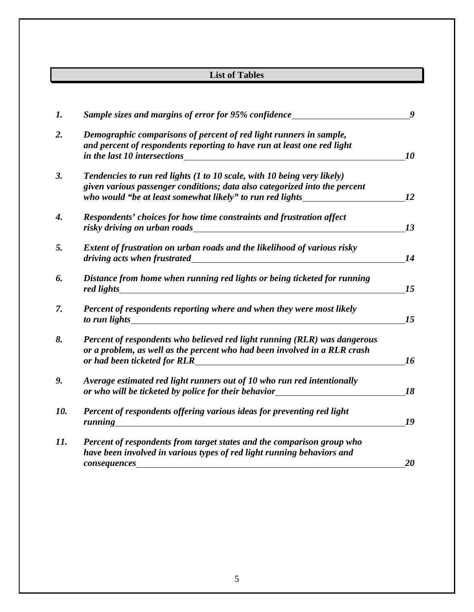# **List of Tables**

<span id="page-4-0"></span>

| 1.  | Sample sizes and margins of error for 95% confidence                                                                                                                                                                                                                                                                                             | 9  |
|-----|--------------------------------------------------------------------------------------------------------------------------------------------------------------------------------------------------------------------------------------------------------------------------------------------------------------------------------------------------|----|
| 2.  | Demographic comparisons of percent of red light runners in sample,<br>and percent of respondents reporting to have run at least one red light<br>in the last 10 intersections                                                                                                                                                                    | 10 |
| 3.  | Tendencies to run red lights (1 to 10 scale, with 10 being very likely)                                                                                                                                                                                                                                                                          |    |
|     | given various passenger conditions; data also categorized into the percent                                                                                                                                                                                                                                                                       |    |
|     | who would "be at least somewhat likely" to run red lights                                                                                                                                                                                                                                                                                        | 12 |
| 4.  | Respondents' choices for how time constraints and frustration affect<br>risky driving on urban roads                                                                                                                                                                                                                                             | 13 |
| 5.  | Extent of frustration on urban roads and the likelihood of various risky<br>driving acts when frustrated<br><u>and the company of the company of the company of the company of the company of the company of the company of the company of the company of the company of the company of the company of the company of the company of the com</u> | 14 |
| 6.  | Distance from home when running red lights or being ticketed for running                                                                                                                                                                                                                                                                         | 15 |
| 7.  | Percent of respondents reporting where and when they were most likely<br>to run lights                                                                                                                                                                                                                                                           | 15 |
| 8.  | Percent of respondents who believed red light running (RLR) was dangerous<br>or a problem, as well as the percent who had been involved in a RLR crash<br>or had been ticketed for RLR                                                                                                                                                           | 16 |
| 9.  | Average estimated red light runners out of 10 who run red intentionally<br>or who will be ticketed by police for their behavior                                                                                                                                                                                                                  | 18 |
| 10. | Percent of respondents offering various ideas for preventing red light<br>running<br><u> 1989 - Johann Stein, amerikansk politiker (</u>                                                                                                                                                                                                         | 19 |
| 11. | Percent of respondents from target states and the comparison group who                                                                                                                                                                                                                                                                           |    |
|     | have been involved in various types of red light running behaviors and                                                                                                                                                                                                                                                                           |    |
|     | consequences                                                                                                                                                                                                                                                                                                                                     | 20 |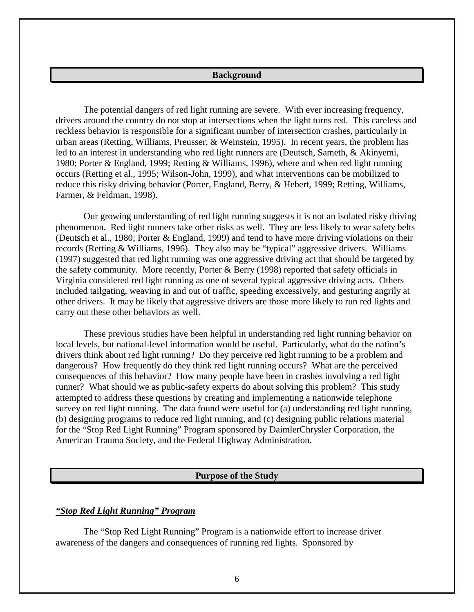#### **Background**

<span id="page-5-0"></span> The potential dangers of red light running are severe. With ever increasing frequency, drivers around the country do not stop at intersections when the light turns red. This careless and reckless behavior is responsible for a significant number of intersection crashes, particularly in urban areas (Retting, Williams, Preusser, & Weinstein, 1995). In recent years, the problem has led to an interest in understanding who red light runners are (Deutsch, Sameth, & Akinyemi, 1980; Porter & England, 1999; Retting & Williams, 1996), where and when red light running occurs (Retting et al., 1995; Wilson-John, 1999), and what interventions can be mobilized to reduce this risky driving behavior (Porter, England, Berry, & Hebert, 1999; Retting, Williams, Farmer, & Feldman, 1998).

 Our growing understanding of red light running suggests it is not an isolated risky driving phenomenon. Red light runners take other risks as well. They are less likely to wear safety belts (Deutsch et al., 1980; Porter & England, 1999) and tend to have more driving violations on their records (Retting & Williams, 1996). They also may be "typical" aggressive drivers. Williams (1997) suggested that red light running was one aggressive driving act that should be targeted by the safety community. More recently, Porter & Berry (1998) reported that safety officials in Virginia considered red light running as one of several typical aggressive driving acts. Others included tailgating, weaving in and out of traffic, speeding excessively, and gesturing angrily at other drivers. It may be likely that aggressive drivers are those more likely to run red lights and carry out these other behaviors as well.

 These previous studies have been helpful in understanding red light running behavior on local levels, but national-level information would be useful. Particularly, what do the nation's drivers think about red light running? Do they perceive red light running to be a problem and dangerous? How frequently do they think red light running occurs? What are the perceived consequences of this behavior? How many people have been in crashes involving a red light runner? What should we as public-safety experts do about solving this problem? This study attempted to address these questions by creating and implementing a nationwide telephone survey on red light running. The data found were useful for (a) understanding red light running, (b) designing programs to reduce red light running, and (c) designing public relations material for the "Stop Red Light Running" Program sponsored by DaimlerChrysler Corporation, the American Trauma Society, and the Federal Highway Administration.

#### **Purpose of the Study**

#### *"Stop Red Light Running" Program*

 The "Stop Red Light Running" Program is a nationwide effort to increase driver awareness of the dangers and consequences of running red lights. Sponsored by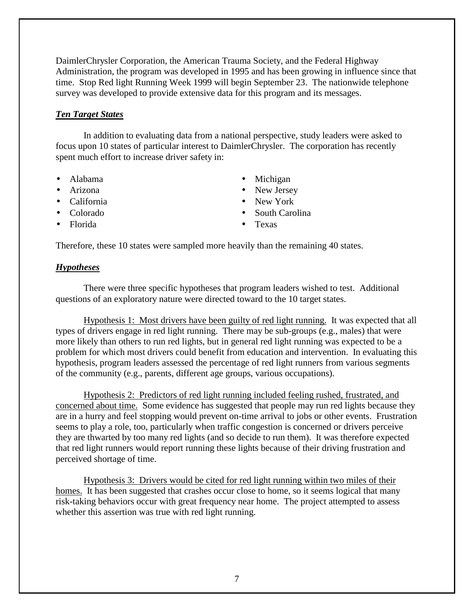<span id="page-6-0"></span>DaimlerChrysler Corporation, the American Trauma Society, and the Federal Highway Administration, the program was developed in 1995 and has been growing in influence since that time. Stop Red light Running Week 1999 will begin September 23. The nationwide telephone survey was developed to provide extensive data for this program and its messages.

## *Ten Target States*

 In addition to evaluating data from a national perspective, study leaders were asked to focus upon 10 states of particular interest to DaimlerChrysler. The corporation has recently spent much effort to increase driver safety in:

- 
- 
- California New York
- 
- Florida Texas
- Alabama Michigan
- Arizona New Jersey
	-
- Colorado South Carolina
	-

Therefore, these 10 states were sampled more heavily than the remaining 40 states.

#### *Hypotheses*

 There were three specific hypotheses that program leaders wished to test. Additional questions of an exploratory nature were directed toward to the 10 target states.

 Hypothesis 1: Most drivers have been guilty of red light running. It was expected that all types of drivers engage in red light running. There may be sub-groups (e.g., males) that were more likely than others to run red lights, but in general red light running was expected to be a problem for which most drivers could benefit from education and intervention. In evaluating this hypothesis, program leaders assessed the percentage of red light runners from various segments of the community (e.g., parents, different age groups, various occupations).

 Hypothesis 2: Predictors of red light running included feeling rushed, frustrated, and concerned about time. Some evidence has suggested that people may run red lights because they are in a hurry and feel stopping would prevent on-time arrival to jobs or other events. Frustration seems to play a role, too, particularly when traffic congestion is concerned or drivers perceive they are thwarted by too many red lights (and so decide to run them). It was therefore expected that red light runners would report running these lights because of their driving frustration and perceived shortage of time.

 Hypothesis 3: Drivers would be cited for red light running within two miles of their homes. It has been suggested that crashes occur close to home, so it seems logical that many risk-taking behaviors occur with great frequency near home. The project attempted to assess whether this assertion was true with red light running.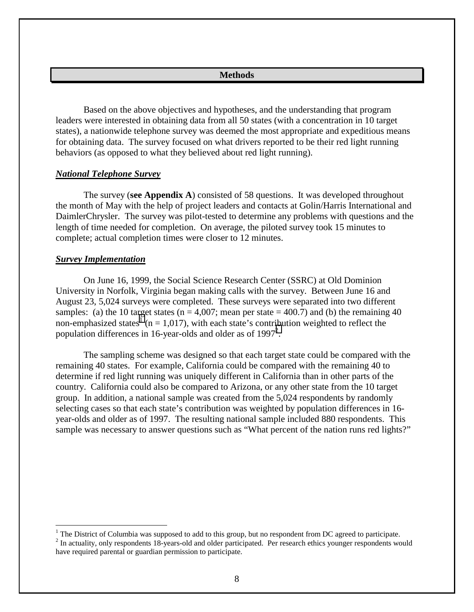#### **Methods**

<span id="page-7-0"></span> Based on the above objectives and hypotheses, and the understanding that program leaders were interested in obtaining data from all 50 states (with a concentration in 10 target states), a nationwide telephone survey was deemed the most appropriate and expeditious means for obtaining data. The survey focused on what drivers reported to be their red light running behaviors (as opposed to what they believed about red light running).

#### *National Telephone Survey*

 The survey (**see Appendix A**) consisted of 58 questions. It was developed throughout the month of May with the help of project leaders and contacts at Golin/Harris International and DaimlerChrysler. The survey was pilot-tested to determine any problems with questions and the length of time needed for completion. On average, the piloted survey took 15 minutes to complete; actual completion times were closer to 12 minutes.

#### *Survey Implementation*

 $\overline{a}$ 

 On June 16, 1999, the Social Science Research Center (SSRC) at Old Dominion University in Norfolk, Virginia began making calls with the survey. Between June 16 and August 23, 5,024 surveys were completed. These surveys were separated into two different samples: (a) the 10 target states ( $n = 4,007$ ; mean per state = 400.7) and (b) the remaining 40 non-emphasized states<sup>1</sup> ( $n = 1,017$ ), with each state's contribution weighted to reflect the population differences in 16-year-olds and older as of  $1997<sup>2</sup>$ .

 The sampling scheme was designed so that each target state could be compared with the remaining 40 states. For example, California could be compared with the remaining 40 to determine if red light running was uniquely different in California than in other parts of the country. California could also be compared to Arizona, or any other state from the 10 target group. In addition, a national sample was created from the 5,024 respondents by randomly selecting cases so that each state's contribution was weighted by population differences in 16 year-olds and older as of 1997. The resulting national sample included 880 respondents. This sample was necessary to answer questions such as "What percent of the nation runs red lights?"

 $1$  The District of Columbia was supposed to add to this group, but no respondent from DC agreed to participate.

<sup>&</sup>lt;sup>2</sup> In actuality, only respondents 18-years-old and older participated. Per research ethics younger respondents would have required parental or guardian permission to participate.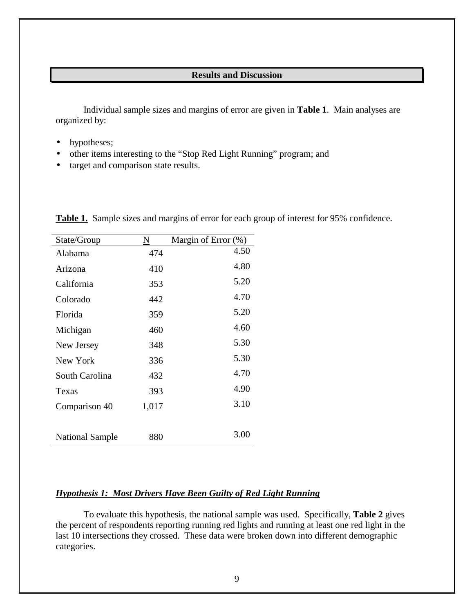#### **Results and Discussion**

<span id="page-8-0"></span> Individual sample sizes and margins of error are given in **Table 1**. Main analyses are organized by:

- hypotheses;
- other items interesting to the "Stop Red Light Running" program; and
- target and comparison state results.

| State/Group            |       | Margin of Error $(\%)$ |
|------------------------|-------|------------------------|
| Alabama                | 474   | 4.50                   |
| Arizona                | 410   | 4.80                   |
| California             | 353   | 5.20                   |
| Colorado               | 442   | 4.70                   |
| Florida                | 359   | 5.20                   |
| Michigan               | 460   | 4.60                   |
| New Jersey             | 348   | 5.30                   |
| New York               | 336   | 5.30                   |
| South Carolina         | 432   | 4.70                   |
| Texas                  | 393   | 4.90                   |
| Comparison 40          | 1,017 | 3.10                   |
|                        |       |                        |
| <b>National Sample</b> | 880   | 3.00                   |

**Table 1.** Sample sizes and margins of error for each group of interest for 95% confidence.

## *Hypothesis 1: Most Drivers Have Been Guilty of Red Light Running*

 To evaluate this hypothesis, the national sample was used. Specifically, **Table 2** gives the percent of respondents reporting running red lights and running at least one red light in the last 10 intersections they crossed. These data were broken down into different demographic categories.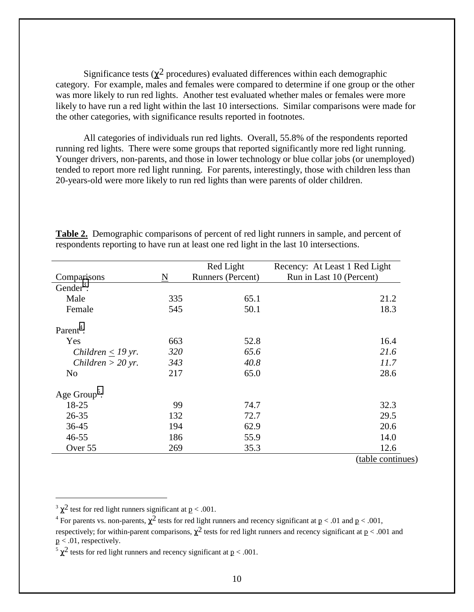Significance tests ( $\chi^2$  procedures) evaluated differences within each demographic category. For example, males and females were compared to determine if one group or the other was more likely to run red lights. Another test evaluated whether males or females were more likely to have run a red light within the last 10 intersections. Similar comparisons were made for the other categories, with significance results reported in footnotes.

 All categories of individuals run red lights. Overall, 55.8% of the respondents reported running red lights. There were some groups that reported significantly more red light running. Younger drivers, non-parents, and those in lower technology or blue collar jobs (or unemployed) tended to report more red light running. For parents, interestingly, those with children less than 20-years-old were more likely to run red lights than were parents of older children.

|                          |     | Red Light         | Recency: At Least 1 Red Light |
|--------------------------|-----|-------------------|-------------------------------|
| Comparisons              | N   | Runners (Percent) | Run in Last 10 (Percent)      |
| Gender <sup>3</sup> :    |     |                   |                               |
| Male                     | 335 | 65.1              | 21.2                          |
| Female                   | 545 | 50.1              | 18.3                          |
| Parent <sup>4</sup> :    |     |                   |                               |
| Yes                      | 663 | 52.8              | 16.4                          |
| Children $\leq$ 19 yr.   | 320 | 65.6              | 21.6                          |
| Children $>$ 20 yr.      | 343 | 40.8              | 11.7                          |
| N <sub>o</sub>           | 217 | 65.0              | 28.6                          |
| Age Group <sup>5</sup> : |     |                   |                               |
| 18-25                    | 99  | 74.7              | 32.3                          |
| $26 - 35$                | 132 | 72.7              | 29.5                          |
| $36 - 45$                | 194 | 62.9              | 20.6                          |
| $46 - 55$                | 186 | 55.9              | 14.0                          |
| Over 55                  | 269 | 35.3              | 12.6                          |
|                          |     |                   | (table continues)             |

**Table 2.** Demographic comparisons of percent of red light runners in sample, and percent of respondents reporting to have run at least one red light in the last 10 intersections.

 $\overline{a}$ 

<sup>&</sup>lt;sup>3</sup>  $\chi^2$  test for red light runners significant at  $p < .001$ .

<sup>&</sup>lt;sup>4</sup> For parents vs. non-parents,  $\chi^2$  tests for red light runners and recency significant at  $p < .01$  and  $p < .001$ , respectively; for within-parent comparisons,  $\chi^2$  tests for red light runners and recency significant at  $p < .001$  and  $p < .01$ , respectively.

<sup>&</sup>lt;sup>5</sup>  $\chi^2$  tests for red light runners and recency significant at <u>p</u> < .001.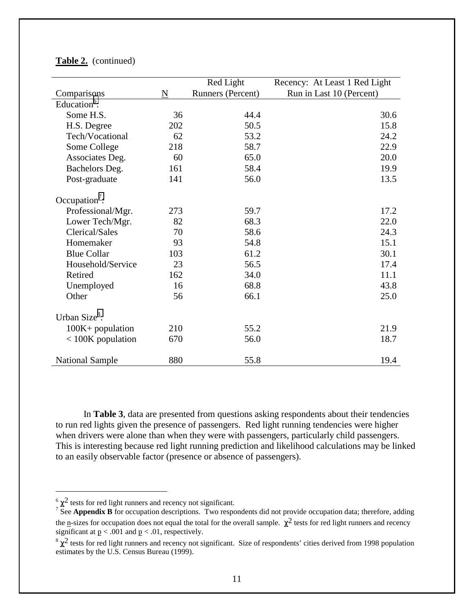|                           |     | Red Light         | Recency: At Least 1 Red Light |
|---------------------------|-----|-------------------|-------------------------------|
| Comparisons               | N   | Runners (Percent) | Run in Last 10 (Percent)      |
| Education <sup>6</sup> :  |     |                   |                               |
| Some H.S.                 | 36  | 44.4              | 30.6                          |
| H.S. Degree               | 202 | 50.5              | 15.8                          |
| Tech/Vocational           | 62  | 53.2              | 24.2                          |
| Some College              | 218 | 58.7              | 22.9                          |
| Associates Deg.           | 60  | 65.0              | 20.0                          |
| Bachelors Deg.            | 161 | 58.4              | 19.9                          |
| Post-graduate             | 141 | 56.0              | 13.5                          |
|                           |     |                   |                               |
| Occupation <sup>7</sup> : |     |                   |                               |
| Professional/Mgr.         | 273 | 59.7              | 17.2                          |
| Lower Tech/Mgr.           | 82  | 68.3              | 22.0                          |
| Clerical/Sales            | 70  | 58.6              | 24.3                          |
| Homemaker                 | 93  | 54.8              | 15.1                          |
| <b>Blue Collar</b>        | 103 | 61.2              | 30.1                          |
| Household/Service         | 23  | 56.5              | 17.4                          |
| Retired                   | 162 | 34.0              | 11.1                          |
| Unemployed                | 16  | 68.8              | 43.8                          |
| Other                     | 56  | 66.1              | 25.0                          |
|                           |     |                   |                               |
| Urban Size <sup>8</sup> : |     |                   |                               |
| $100K + population$       | 210 | 55.2              | 21.9                          |
| $<$ 100K population       | 670 | 56.0              | 18.7                          |
| <b>National Sample</b>    | 880 | 55.8              | 19.4                          |

#### **Table 2.** (continued)

 In **Table 3**, data are presented from questions asking respondents about their tendencies to run red lights given the presence of passengers. Red light running tendencies were higher when drivers were alone than when they were with passengers, particularly child passengers. This is interesting because red light running prediction and likelihood calculations may be linked to an easily observable factor (presence or absence of passengers).

 $\overline{a}$ 

 $6 \chi^2$  tests for red light runners and recency not significant.

<sup>&</sup>lt;sup>7</sup> See **Appendix B** for occupation descriptions. Two respondents did not provide occupation data; therefore, adding the n-sizes for occupation does not equal the total for the overall sample.  $\chi^2$  tests for red light runners and recency significant at  $p < .001$  and  $p < .01$ , respectively.

 $\frac{8 \gamma^2}{2}$  tests for red light runners and recency not significant. Size of respondents' cities derived from 1998 population estimates by the U.S. Census Bureau (1999).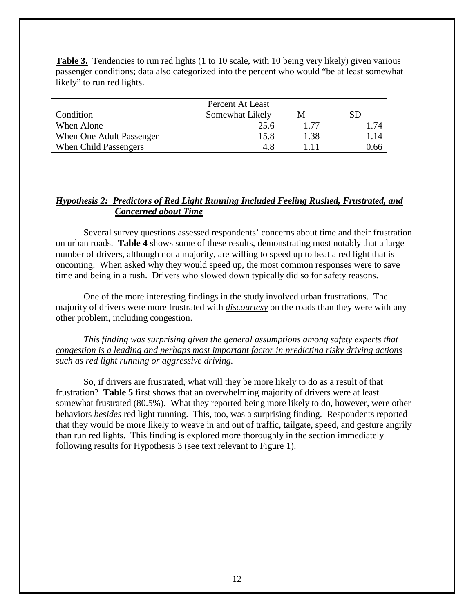<span id="page-11-0"></span>**Table 3.** Tendencies to run red lights (1 to 10 scale, with 10 being very likely) given various passenger conditions; data also categorized into the percent who would "be at least somewhat likely" to run red lights.

|                          | Percent At Least |      |      |
|--------------------------|------------------|------|------|
| Condition                | Somewhat Likely  | M    |      |
| When Alone               | 25.6             | 177  | 1.74 |
| When One Adult Passenger | 15.8             | 1.38 | 1.14 |
| When Child Passengers    | 4.8              |      | 0.66 |

## *Hypothesis 2: Predictors of Red Light Running Included Feeling Rushed, Frustrated, and Concerned about Time*

 Several survey questions assessed respondents' concerns about time and their frustration on urban roads. **Table 4** shows some of these results, demonstrating most notably that a large number of drivers, although not a majority, are willing to speed up to beat a red light that is oncoming. When asked why they would speed up, the most common responses were to save time and being in a rush. Drivers who slowed down typically did so for safety reasons.

 One of the more interesting findings in the study involved urban frustrations. The majority of drivers were more frustrated with *discourtesy* on the roads than they were with any other problem, including congestion.

*This finding was surprising given the general assumptions among safety experts that congestion is a leading and perhaps most important factor in predicting risky driving actions such as red light running or aggressive driving.*

 So, if drivers are frustrated, what will they be more likely to do as a result of that frustration? **Table 5** first shows that an overwhelming majority of drivers were at least somewhat frustrated (80.5%). What they reported being more likely to do, however, were other behaviors *besides* red light running. This, too, was a surprising finding. Respondents reported that they would be more likely to weave in and out of traffic, tailgate, speed, and gesture angrily than run red lights. This finding is explored more thoroughly in the section immediately following results for Hypothesis 3 (see text relevant to Figure 1).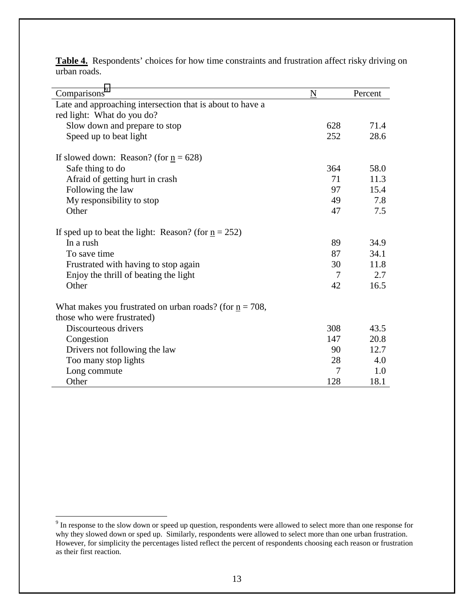| Comparisons <sup>9</sup>                                            | N   | Percent |
|---------------------------------------------------------------------|-----|---------|
| Late and approaching intersection that is about to have a           |     |         |
| red light: What do you do?                                          |     |         |
| Slow down and prepare to stop                                       | 628 | 71.4    |
| Speed up to beat light                                              | 252 | 28.6    |
| If slowed down: Reason? (for $n = 628$ )                            |     |         |
| Safe thing to do                                                    | 364 | 58.0    |
| Afraid of getting hurt in crash                                     | 71  | 11.3    |
| Following the law                                                   | 97  | 15.4    |
| My responsibility to stop                                           | 49  | 7.8     |
| Other                                                               | 47  | 7.5     |
| If sped up to beat the light: Reason? (for $n = 252$ )              |     |         |
| In a rush                                                           | 89  | 34.9    |
| To save time                                                        | 87  | 34.1    |
| Frustrated with having to stop again                                | 30  | 11.8    |
| Enjoy the thrill of beating the light                               | 7   | 2.7     |
| Other                                                               | 42  | 16.5    |
| What makes you frustrated on urban roads? (for $\mathbf{n} = 708$ , |     |         |
| those who were frustrated)                                          |     |         |
| Discourteous drivers                                                | 308 | 43.5    |
| Congestion                                                          | 147 | 20.8    |
| Drivers not following the law                                       | 90  | 12.7    |
| Too many stop lights                                                | 28  | 4.0     |
| Long commute                                                        | 7   | 1.0     |
| Other                                                               | 128 | 18.1    |

**Table 4.** Respondents' choices for how time constraints and frustration affect risky driving on urban roads.

<sup>&</sup>lt;sup>9</sup> In response to the slow down or speed up question, respondents were allowed to select more than one response for why they slowed down or sped up. Similarly, respondents were allowed to select more than one urban frustration. However, for simplicity the percentages listed reflect the percent of respondents choosing each reason or frustration as their first reaction.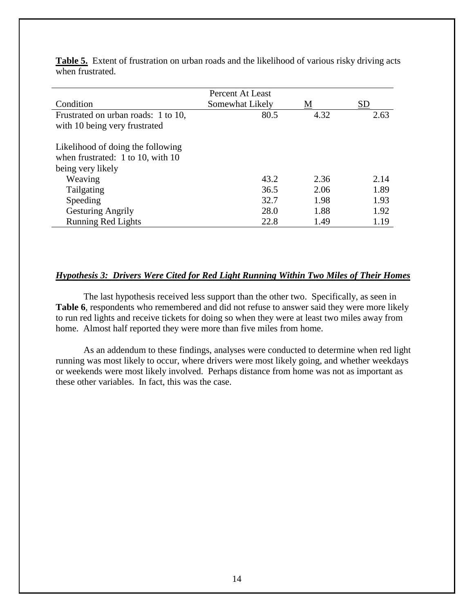|                                     | Percent At Least |      |           |
|-------------------------------------|------------------|------|-----------|
| Condition                           | Somewhat Likely  | M    | <b>SD</b> |
| Frustrated on urban roads: 1 to 10, | 80.5             | 4.32 | 2.63      |
| with 10 being very frustrated       |                  |      |           |
|                                     |                  |      |           |
| Likelihood of doing the following   |                  |      |           |
| when frustrated: $1$ to 10, with 10 |                  |      |           |
| being very likely                   |                  |      |           |
| Weaving                             | 43.2             | 2.36 | 2.14      |
| Tailgating                          | 36.5             | 2.06 | 1.89      |
| Speeding                            | 32.7             | 1.98 | 1.93      |
| <b>Gesturing Angrily</b>            | 28.0             | 1.88 | 1.92      |
| <b>Running Red Lights</b>           | 22.8             | 1.49 | 1.19      |

<span id="page-13-0"></span>Table 5. Extent of frustration on urban roads and the likelihood of various risky driving acts when frustrated.

#### *Hypothesis 3: Drivers Were Cited for Red Light Running Within Two Miles of Their Homes*

 The last hypothesis received less support than the other two. Specifically, as seen in Table 6, respondents who remembered and did not refuse to answer said they were more likely to run red lights and receive tickets for doing so when they were at least two miles away from home. Almost half reported they were more than five miles from home.

 As an addendum to these findings, analyses were conducted to determine when red light running was most likely to occur, where drivers were most likely going, and whether weekdays or weekends were most likely involved. Perhaps distance from home was not as important as these other variables. In fact, this was the case.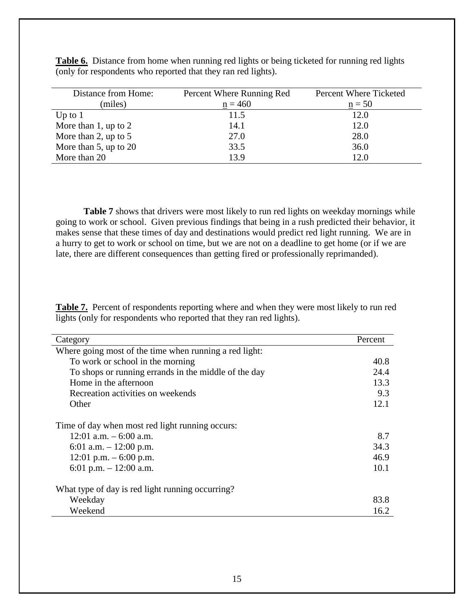| Distance from Home:        | Percent Where Running Red | Percent Where Ticketed |
|----------------------------|---------------------------|------------------------|
| (miles)                    | $n = 460$                 | $n = 50$               |
| Up to $1$                  | 11.5                      | 12.0                   |
| More than $1$ , up to $2$  | 14.1                      | 12.0                   |
| More than 2, up to $5$     | 27.0                      | 28.0                   |
| More than $5$ , up to $20$ | 33.5                      | 36.0                   |
| More than 20               | 13.9                      | 12.0                   |

**Table 6.** Distance from home when running red lights or being ticketed for running red lights (only for respondents who reported that they ran red lights).

**Table 7** shows that drivers were most likely to run red lights on weekday mornings while going to work or school. Given previous findings that being in a rush predicted their behavior, it makes sense that these times of day and destinations would predict red light running. We are in a hurry to get to work or school on time, but we are not on a deadline to get home (or if we are late, there are different consequences than getting fired or professionally reprimanded).

**Table 7.** Percent of respondents reporting where and when they were most likely to run red lights (only for respondents who reported that they ran red lights).

| Category                                               | Percent |
|--------------------------------------------------------|---------|
| Where going most of the time when running a red light: |         |
| To work or school in the morning                       | 40.8    |
| To shops or running errands in the middle of the day   | 24.4    |
| Home in the afternoon                                  | 13.3    |
| Recreation activities on weekends                      | 9.3     |
| Other                                                  | 12.1    |
| Time of day when most red light running occurs:        |         |
| 12:01 a.m. $-6:00$ a.m.                                | 8.7     |
| 6:01 a.m. $-12:00$ p.m.                                | 34.3    |
| 12:01 p.m. $-6:00$ p.m.                                | 46.9    |
| 6:01 p.m. $-12:00$ a.m.                                | 10.1    |
| What type of day is red light running occurring?       |         |
| Weekday                                                | 83.8    |
| Weekend                                                | 16.2    |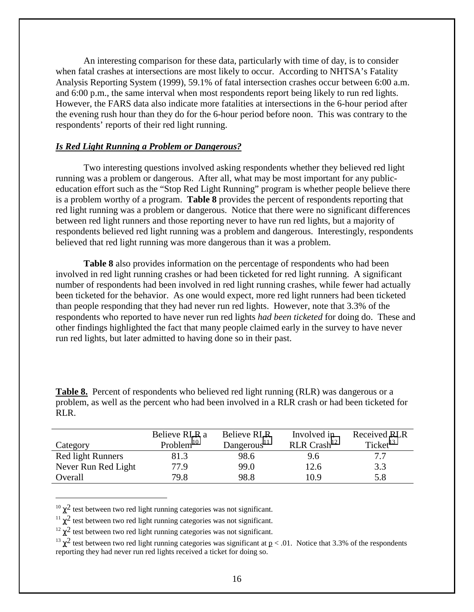<span id="page-15-0"></span> An interesting comparison for these data, particularly with time of day, is to consider when fatal crashes at intersections are most likely to occur. According to NHTSA's Fatality Analysis Reporting System (1999), 59.1% of fatal intersection crashes occur between 6:00 a.m. and 6:00 p.m., the same interval when most respondents report being likely to run red lights. However, the FARS data also indicate more fatalities at intersections in the 6-hour period after the evening rush hour than they do for the 6-hour period before noon. This was contrary to the respondents' reports of their red light running.

#### *Is Red Light Running a Problem or Dangerous?*

 Two interesting questions involved asking respondents whether they believed red light running was a problem or dangerous. After all, what may be most important for any publiceducation effort such as the "Stop Red Light Running" program is whether people believe there is a problem worthy of a program. **Table 8** provides the percent of respondents reporting that red light running was a problem or dangerous. Notice that there were no significant differences between red light runners and those reporting never to have run red lights, but a majority of respondents believed red light running was a problem and dangerous. Interestingly, respondents believed that red light running was more dangerous than it was a problem.

**Table 8** also provides information on the percentage of respondents who had been involved in red light running crashes or had been ticketed for red light running. A significant number of respondents had been involved in red light running crashes, while fewer had actually been ticketed for the behavior. As one would expect, more red light runners had been ticketed than people responding that they had never run red lights. However, note that 3.3% of the respondents who reported to have never run red lights *had been ticketed* for doing do. These and other findings highlighted the fact that many people claimed early in the survey to have never run red lights, but later admitted to having done so in their past.

Table 8. Percent of respondents who believed red light running (RLR) was dangerous or a problem, as well as the percent who had been involved in a RLR crash or had been ticketed for RLR.

|                          | Believe RLR a | <b>Believe RLR</b>      | Involved in               | <b>Received RLR</b>  |
|--------------------------|---------------|-------------------------|---------------------------|----------------------|
| Category                 | Problem $10$  | Dangerous <sup>11</sup> | $RLR$ Crash <sup>12</sup> | Ticket <sup>13</sup> |
| <b>Red light Runners</b> | 81.3          | 98.6                    | 9.6                       | 7.7                  |
| Never Run Red Light      | 77.9          | 99.0                    | 12.6                      | 3.3                  |
| Overall                  | 79.8          | 98.8                    | 10.9                      | 5.8                  |

<sup>10</sup>  $\chi^2$  test between two red light running categories was not significant.<br><sup>11</sup>  $\chi^2$  test between two red light running categories was not significant.

 $\overline{a}$ 

 $12 \gamma^2$  test between two red light running categories was not significant.

<sup>&</sup>lt;sup>13</sup>  $\gamma^2$  test between two red light running categories was significant at p < .01. Notice that 3.3% of the respondents reporting they had never run red lights received a ticket for doing so.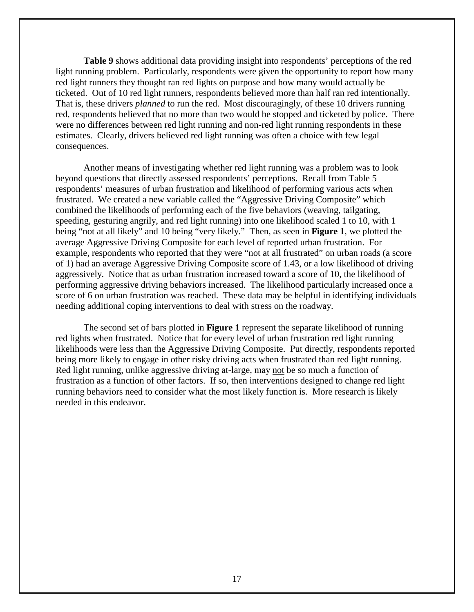**Table 9** shows additional data providing insight into respondents' perceptions of the red light running problem. Particularly, respondents were given the opportunity to report how many red light runners they thought ran red lights on purpose and how many would actually be ticketed. Out of 10 red light runners, respondents believed more than half ran red intentionally. That is, these drivers *planned* to run the red. Most discouragingly, of these 10 drivers running red, respondents believed that no more than two would be stopped and ticketed by police. There were no differences between red light running and non-red light running respondents in these estimates. Clearly, drivers believed red light running was often a choice with few legal consequences.

 Another means of investigating whether red light running was a problem was to look beyond questions that directly assessed respondents' perceptions. Recall from Table 5 respondents' measures of urban frustration and likelihood of performing various acts when frustrated. We created a new variable called the "Aggressive Driving Composite" which combined the likelihoods of performing each of the five behaviors (weaving, tailgating, speeding, gesturing angrily, and red light running) into one likelihood scaled 1 to 10, with 1 being "not at all likely" and 10 being "very likely." Then, as seen in **Figure 1**, we plotted the average Aggressive Driving Composite for each level of reported urban frustration. For example, respondents who reported that they were "not at all frustrated" on urban roads (a score of 1) had an average Aggressive Driving Composite score of 1.43, or a low likelihood of driving aggressively. Notice that as urban frustration increased toward a score of 10, the likelihood of performing aggressive driving behaviors increased. The likelihood particularly increased once a score of 6 on urban frustration was reached. These data may be helpful in identifying individuals needing additional coping interventions to deal with stress on the roadway.

 The second set of bars plotted in **Figure 1** represent the separate likelihood of running red lights when frustrated. Notice that for every level of urban frustration red light running likelihoods were less than the Aggressive Driving Composite. Put directly, respondents reported being more likely to engage in other risky driving acts when frustrated than red light running. Red light running, unlike aggressive driving at-large, may not be so much a function of frustration as a function of other factors. If so, then interventions designed to change red light running behaviors need to consider what the most likely function is. More research is likely needed in this endeavor.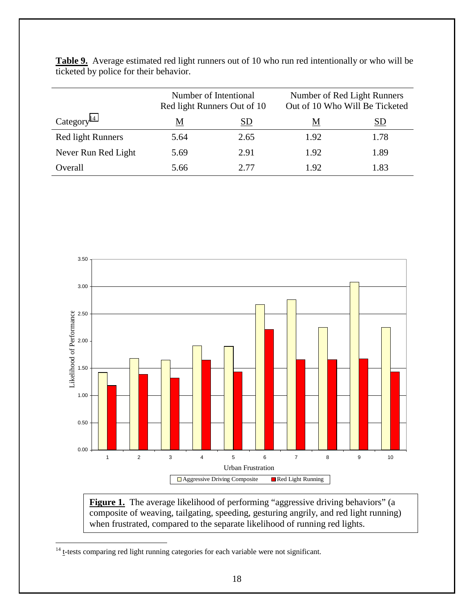|                          | Number of Intentional<br>Red light Runners Out of 10 |      | Number of Red Light Runners<br>Out of 10 Who Will Be Ticketed |      |
|--------------------------|------------------------------------------------------|------|---------------------------------------------------------------|------|
| Category <sup>14</sup>   | <u>M</u><br>SD                                       |      | M                                                             | SD   |
| <b>Red light Runners</b> | 5.64                                                 | 2.65 | 1.92                                                          | 1.78 |
| Never Run Red Light      | 5.69                                                 | 2.91 | 1.92                                                          | 1.89 |
| Overall                  | 5.66                                                 | 2.77 | 1.92                                                          | 1.83 |





Figure 1. The average likelihood of performing "aggressive driving behaviors" (a composite of weaving, tailgating, speeding, gesturing angrily, and red light running) when frustrated, compared to the separate likelihood of running red lights.

 $\overline{a}$ 

 $14$  t-tests comparing red light running categories for each variable were not significant.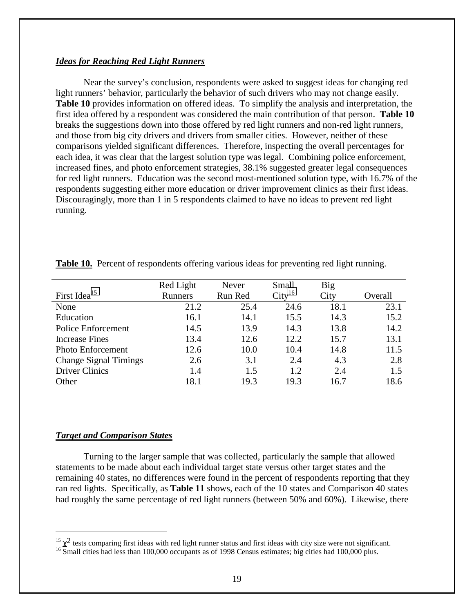#### <span id="page-18-0"></span>*Ideas for Reaching Red Light Runners*

 Near the survey's conclusion, respondents were asked to suggest ideas for changing red light runners' behavior, particularly the behavior of such drivers who may not change easily. **Table 10** provides information on offered ideas. To simplify the analysis and interpretation, the first idea offered by a respondent was considered the main contribution of that person. **Table 10** breaks the suggestions down into those offered by red light runners and non-red light runners, and those from big city drivers and drivers from smaller cities. However, neither of these comparisons yielded significant differences. Therefore, inspecting the overall percentages for each idea, it was clear that the largest solution type was legal. Combining police enforcement, increased fines, and photo enforcement strategies, 38.1% suggested greater legal consequences for red light runners. Education was the second most-mentioned solution type, with 16.7% of the respondents suggesting either more education or driver improvement clinics as their first ideas. Discouragingly, more than 1 in 5 respondents claimed to have no ideas to prevent red light running.

|                              | Red Light      | Never   | Small              | <b>Big</b> |         |
|------------------------------|----------------|---------|--------------------|------------|---------|
| First Idea <sup>15</sup>     | <b>Runners</b> | Run Red | City <sup>16</sup> | City       | Overall |
| None                         | 21.2           | 25.4    | 24.6               | 18.1       | 23.1    |
| Education                    | 16.1           | 14.1    | 15.5               | 14.3       | 15.2    |
| Police Enforcement           | 14.5           | 13.9    | 14.3               | 13.8       | 14.2    |
| <b>Increase Fines</b>        | 13.4           | 12.6    | 12.2               | 15.7       | 13.1    |
| <b>Photo Enforcement</b>     | 12.6           | 10.0    | 10.4               | 14.8       | 11.5    |
| <b>Change Signal Timings</b> | 2.6            | 3.1     | 2.4                | 4.3        | 2.8     |
| <b>Driver Clinics</b>        | 1.4            | 1.5     | 1.2                | 2.4        | 1.5     |
| Other                        | 18.1           | 19.3    | 19.3               | 16.7       | 18.6    |

**Table 10.** Percent of respondents offering various ideas for preventing red light running.

#### *Target and Comparison States*

 $\overline{a}$ 

 Turning to the larger sample that was collected, particularly the sample that allowed statements to be made about each individual target state versus other target states and the remaining 40 states, no differences were found in the percent of respondents reporting that they ran red lights. Specifically, as **Table 11** shows, each of the 10 states and Comparison 40 states had roughly the same percentage of red light runners (between 50% and 60%). Likewise, there

<sup>&</sup>lt;sup>15</sup>  $\chi^2$  tests comparing first ideas with red light runner status and first ideas with city size were not significant. <sup>16</sup> Small cities had less than 100,000 occupants as of 1998 Census estimates; big cities had 100,0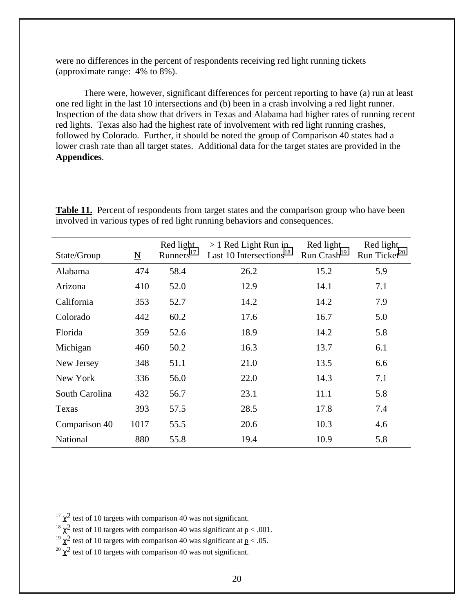were no differences in the percent of respondents receiving red light running tickets (approximate range: 4% to 8%).

 There were, however, significant differences for percent reporting to have (a) run at least one red light in the last 10 intersections and (b) been in a crash involving a red light runner. Inspection of the data show that drivers in Texas and Alabama had higher rates of running recent red lights. Texas also had the highest rate of involvement with red light running crashes, followed by Colorado. Further, it should be noted the group of Comparison 40 states had a lower crash rate than all target states. Additional data for the target states are provided in the **Appendices**.

| State/Group    | $\underline{\mathbf{N}}$ | Red light<br>Runners <sup>17</sup> | $\geq$ 1 Red Light Run in<br>Last 10 Intersections <sup>18</sup> | Red light<br>Run Crash <sup>19</sup> | Red light<br>Run Ticket $^{20}$ |
|----------------|--------------------------|------------------------------------|------------------------------------------------------------------|--------------------------------------|---------------------------------|
| Alabama        | 474                      | 58.4                               | 26.2                                                             | 15.2                                 | 5.9                             |
| Arizona        | 410                      | 52.0                               | 12.9                                                             | 14.1                                 | 7.1                             |
| California     | 353                      | 52.7                               | 14.2                                                             | 14.2                                 | 7.9                             |
| Colorado       | 442                      | 60.2                               | 17.6                                                             | 16.7                                 | 5.0                             |
| Florida        | 359                      | 52.6                               | 18.9                                                             | 14.2                                 | 5.8                             |
| Michigan       | 460                      | 50.2                               | 16.3                                                             | 13.7                                 | 6.1                             |
| New Jersey     | 348                      | 51.1                               | 21.0                                                             | 13.5                                 | 6.6                             |
| New York       | 336                      | 56.0                               | 22.0                                                             | 14.3                                 | 7.1                             |
| South Carolina | 432                      | 56.7                               | 23.1                                                             | 11.1                                 | 5.8                             |
| Texas          | 393                      | 57.5                               | 28.5                                                             | 17.8                                 | 7.4                             |
| Comparison 40  | 1017                     | 55.5                               | 20.6                                                             | 10.3                                 | 4.6                             |
| National       | 880                      | 55.8                               | 19.4                                                             | 10.9                                 | 5.8                             |

**Table 11.** Percent of respondents from target states and the comparison group who have been involved in various types of red light running behaviors and consequences.

 $\overline{a}$ 

 $17 \chi^2$  test of 10 targets with comparison 40 was not significant.

<sup>&</sup>lt;sup>18</sup>  $\chi^2$  test of 10 targets with comparison 40 was significant at p < .001.<br><sup>19</sup>  $\gamma^2$  test of 10 targets with comparison 40 was significant at p < .05.

 $\frac{20}{\chi^2}$  test of 10 targets with comparison 40 was not significant.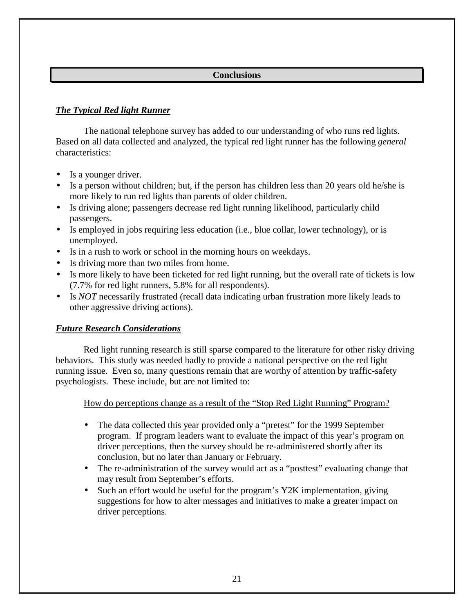## **Conclusions**

## <span id="page-20-0"></span>*The Typical Red light Runner*

 The national telephone survey has added to our understanding of who runs red lights. Based on all data collected and analyzed, the typical red light runner has the following *general* characteristics:

- Is a younger driver.
- Is a person without children; but, if the person has children less than 20 years old he/she is more likely to run red lights than parents of older children.
- Is driving alone; passengers decrease red light running likelihood, particularly child passengers.
- Is employed in jobs requiring less education (i.e., blue collar, lower technology), or is unemployed.
- Is in a rush to work or school in the morning hours on weekdays.
- Is driving more than two miles from home.
- Is more likely to have been ticketed for red light running, but the overall rate of tickets is low (7.7% for red light runners, 5.8% for all respondents).
- Is *NOT* necessarily frustrated (recall data indicating urban frustration more likely leads to other aggressive driving actions).

## *Future Research Considerations*

 Red light running research is still sparse compared to the literature for other risky driving behaviors. This study was needed badly to provide a national perspective on the red light running issue. Even so, many questions remain that are worthy of attention by traffic-safety psychologists. These include, but are not limited to:

How do perceptions change as a result of the "Stop Red Light Running" Program?

- The data collected this year provided only a "pretest" for the 1999 September program. If program leaders want to evaluate the impact of this year's program on driver perceptions, then the survey should be re-administered shortly after its conclusion, but no later than January or February.
- The re-administration of the survey would act as a "posttest" evaluating change that may result from September's efforts.
- Such an effort would be useful for the program's Y2K implementation, giving suggestions for how to alter messages and initiatives to make a greater impact on driver perceptions.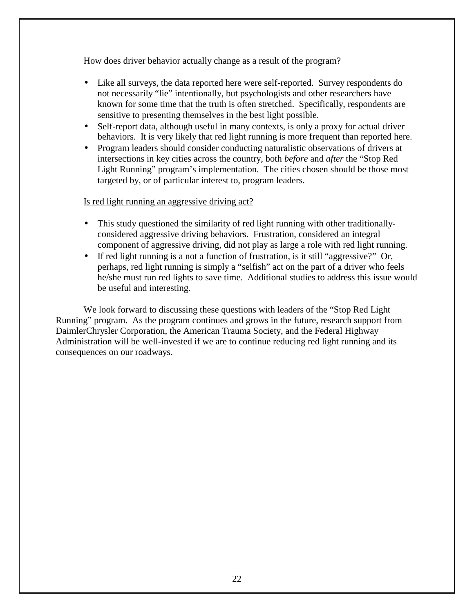#### How does driver behavior actually change as a result of the program?

- Like all surveys, the data reported here were self-reported. Survey respondents do not necessarily "lie" intentionally, but psychologists and other researchers have known for some time that the truth is often stretched. Specifically, respondents are sensitive to presenting themselves in the best light possible.
- Self-report data, although useful in many contexts, is only a proxy for actual driver behaviors. It is very likely that red light running is more frequent than reported here.
- Program leaders should consider conducting naturalistic observations of drivers at intersections in key cities across the country, both *before* and *after* the "Stop Red Light Running" program's implementation. The cities chosen should be those most targeted by, or of particular interest to, program leaders.

### Is red light running an aggressive driving act?

- This study questioned the similarity of red light running with other traditionallyconsidered aggressive driving behaviors. Frustration, considered an integral component of aggressive driving, did not play as large a role with red light running.
- If red light running is a not a function of frustration, is it still "aggressive?" Or, perhaps, red light running is simply a "selfish" act on the part of a driver who feels he/she must run red lights to save time. Additional studies to address this issue would be useful and interesting.

 We look forward to discussing these questions with leaders of the "Stop Red Light Running" program. As the program continues and grows in the future, research support from DaimlerChrysler Corporation, the American Trauma Society, and the Federal Highway Administration will be well-invested if we are to continue reducing red light running and its consequences on our roadways.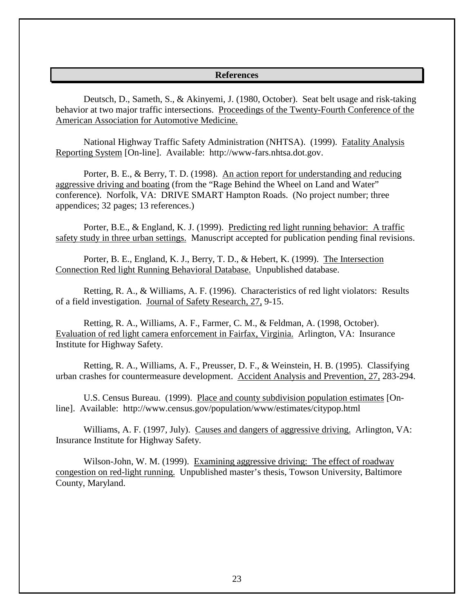#### **References**

<span id="page-22-0"></span> Deutsch, D., Sameth, S., & Akinyemi, J. (1980, October). Seat belt usage and risk-taking behavior at two major traffic intersections. Proceedings of the Twenty-Fourth Conference of the American Association for Automotive Medicine.

 National Highway Traffic Safety Administration (NHTSA). (1999). Fatality Analysis Reporting System [On-line]. Available: http://www-fars.nhtsa.dot.gov.

 Porter, B. E., & Berry, T. D. (1998). An action report for understanding and reducing aggressive driving and boating (from the "Rage Behind the Wheel on Land and Water" conference). Norfolk, VA: DRIVE SMART Hampton Roads. (No project number; three appendices; 32 pages; 13 references.)

 Porter, B.E., & England, K. J. (1999). Predicting red light running behavior: A traffic safety study in three urban settings. Manuscript accepted for publication pending final revisions.

 Porter, B. E., England, K. J., Berry, T. D., & Hebert, K. (1999). The Intersection Connection Red light Running Behavioral Database. Unpublished database.

 Retting, R. A., & Williams, A. F. (1996). Characteristics of red light violators: Results of a field investigation. Journal of Safety Research, 27, 9-15.

 Retting, R. A., Williams, A. F., Farmer, C. M., & Feldman, A. (1998, October). Evaluation of red light camera enforcement in Fairfax, Virginia. Arlington, VA: Insurance Institute for Highway Safety.

 Retting, R. A., Williams, A. F., Preusser, D. F., & Weinstein, H. B. (1995). Classifying urban crashes for countermeasure development. Accident Analysis and Prevention, 27, 283-294.

 U.S. Census Bureau. (1999). Place and county subdivision population estimates [Online]. Available: http://www.census.gov/population/www/estimates/citypop.html

 Williams, A. F. (1997, July). Causes and dangers of aggressive driving. Arlington, VA: Insurance Institute for Highway Safety.

 Wilson-John, W. M. (1999). Examining aggressive driving: The effect of roadway congestion on red-light running. Unpublished master's thesis, Towson University, Baltimore County, Maryland.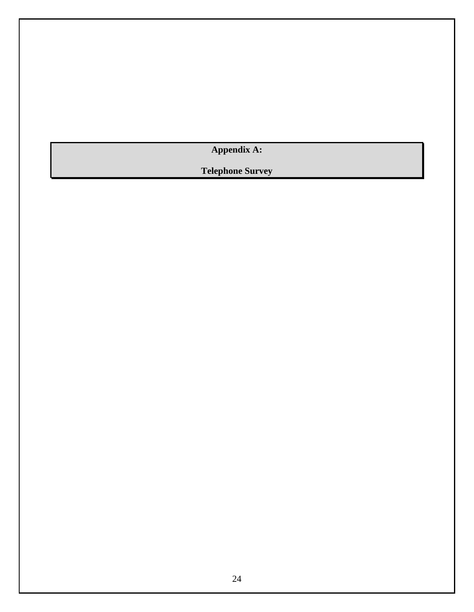<span id="page-23-0"></span>**Appendix A:** 

**Telephone Survey**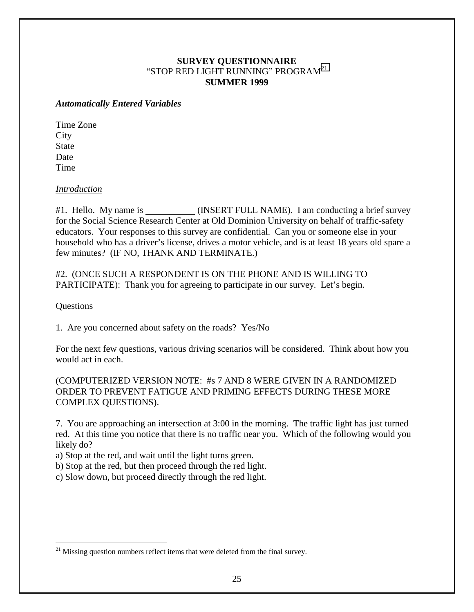## **SURVEY QUESTIONNAIRE**  "STOP RED LIGHT RUNNING" PROGRAM<sup>21</sup> **SUMMER 1999**

#### *Automatically Entered Variables*

Time Zone **City** State Date Time

#### *Introduction*

#1. Hello. My name is \_\_\_\_\_\_\_\_\_\_(INSERT FULL NAME). I am conducting a brief survey for the Social Science Research Center at Old Dominion University on behalf of traffic-safety educators. Your responses to this survey are confidential. Can you or someone else in your household who has a driver's license, drives a motor vehicle, and is at least 18 years old spare a few minutes? (IF NO, THANK AND TERMINATE.)

#2. (ONCE SUCH A RESPONDENT IS ON THE PHONE AND IS WILLING TO PARTICIPATE): Thank you for agreeing to participate in our survey. Let's begin.

Questions

 $\overline{a}$ 

1. Are you concerned about safety on the roads? Yes/No

For the next few questions, various driving scenarios will be considered. Think about how you would act in each.

(COMPUTERIZED VERSION NOTE: #s 7 AND 8 WERE GIVEN IN A RANDOMIZED ORDER TO PREVENT FATIGUE AND PRIMING EFFECTS DURING THESE MORE COMPLEX QUESTIONS).

7. You are approaching an intersection at 3:00 in the morning. The traffic light has just turned red. At this time you notice that there is no traffic near you. Which of the following would you likely do?

a) Stop at the red, and wait until the light turns green.

b) Stop at the red, but then proceed through the red light.

c) Slow down, but proceed directly through the red light.

 $21$  Missing question numbers reflect items that were deleted from the final survey.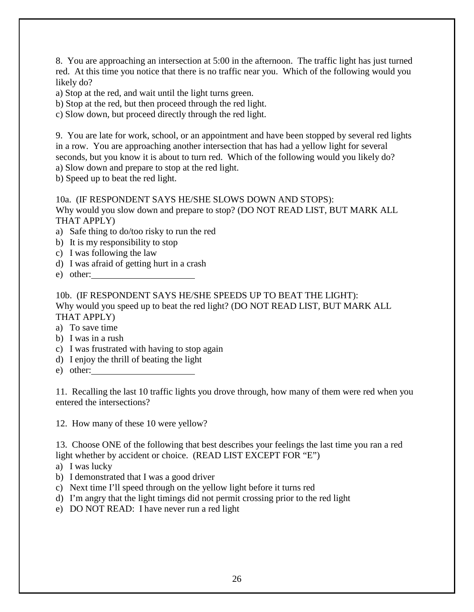8. You are approaching an intersection at 5:00 in the afternoon. The traffic light has just turned red. At this time you notice that there is no traffic near you. Which of the following would you likely do?

a) Stop at the red, and wait until the light turns green.

b) Stop at the red, but then proceed through the red light.

c) Slow down, but proceed directly through the red light.

9. You are late for work, school, or an appointment and have been stopped by several red lights in a row. You are approaching another intersection that has had a yellow light for several seconds, but you know it is about to turn red. Which of the following would you likely do? a) Slow down and prepare to stop at the red light.

b) Speed up to beat the red light.

### 10a. (IF RESPONDENT SAYS HE/SHE SLOWS DOWN AND STOPS):

Why would you slow down and prepare to stop? (DO NOT READ LIST, BUT MARK ALL THAT APPLY)

- a) Safe thing to do/too risky to run the red
- b) It is my responsibility to stop
- c) I was following the law
- d) I was afraid of getting hurt in a crash
- e) other:

10b. (IF RESPONDENT SAYS HE/SHE SPEEDS UP TO BEAT THE LIGHT): Why would you speed up to beat the red light? (DO NOT READ LIST, BUT MARK ALL THAT APPLY)

a) To save time

- b) I was in a rush
- c) I was frustrated with having to stop again
- d) I enjoy the thrill of beating the light
- e) other:

11. Recalling the last 10 traffic lights you drove through, how many of them were red when you entered the intersections?

12. How many of these 10 were yellow?

13. Choose ONE of the following that best describes your feelings the last time you ran a red light whether by accident or choice. (READ LIST EXCEPT FOR "E")

- a) I was lucky
- b) I demonstrated that I was a good driver
- c) Next time I'll speed through on the yellow light before it turns red
- d) I'm angry that the light timings did not permit crossing prior to the red light
- e) DO NOT READ: I have never run a red light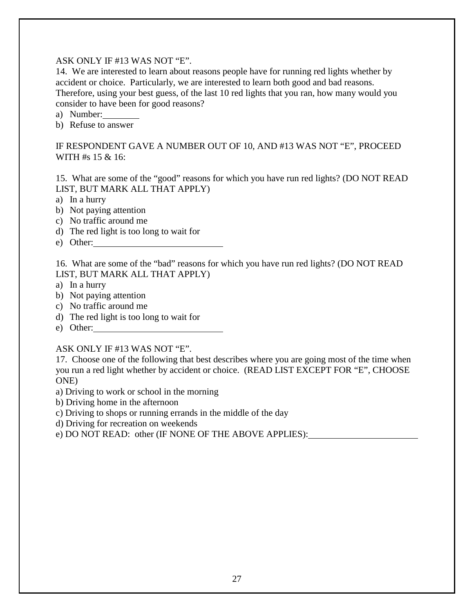### ASK ONLY IF #13 WAS NOT "E".

14. We are interested to learn about reasons people have for running red lights whether by accident or choice. Particularly, we are interested to learn both good and bad reasons. Therefore, using your best guess, of the last 10 red lights that you ran, how many would you consider to have been for good reasons?

- a) Number:
- b) Refuse to answer

### IF RESPONDENT GAVE A NUMBER OUT OF 10, AND #13 WAS NOT "E", PROCEED WITH #s 15 & 16:

15. What are some of the "good" reasons for which you have run red lights? (DO NOT READ LIST, BUT MARK ALL THAT APPLY)

a) In a hurry

- b) Not paying attention
- c) No traffic around me
- d) The red light is too long to wait for
- e) Other:

16. What are some of the "bad" reasons for which you have run red lights? (DO NOT READ LIST, BUT MARK ALL THAT APPLY)

- a) In a hurry
- b) Not paying attention
- c) No traffic around me
- d) The red light is too long to wait for
- e) Other:

#### ASK ONLY IF #13 WAS NOT "E".

17. Choose one of the following that best describes where you are going most of the time when you run a red light whether by accident or choice. (READ LIST EXCEPT FOR "E", CHOOSE ONE)

- a) Driving to work or school in the morning
- b) Driving home in the afternoon
- c) Driving to shops or running errands in the middle of the day
- d) Driving for recreation on weekends
- e) DO NOT READ: other (IF NONE OF THE ABOVE APPLIES):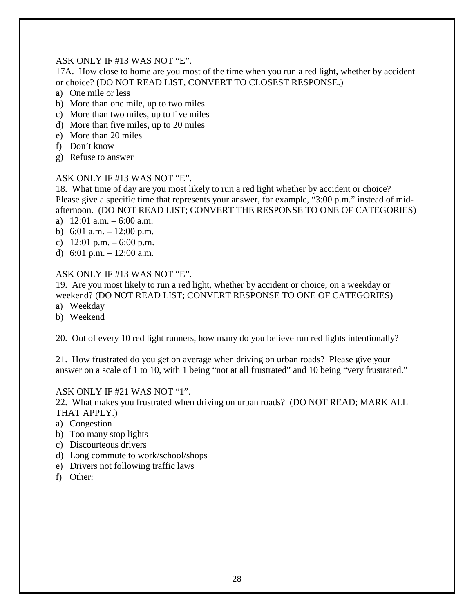### ASK ONLY IF #13 WAS NOT "E".

17A. How close to home are you most of the time when you run a red light, whether by accident or choice? (DO NOT READ LIST, CONVERT TO CLOSEST RESPONSE.)

- a) One mile or less
- b) More than one mile, up to two miles
- c) More than two miles, up to five miles
- d) More than five miles, up to 20 miles
- e) More than 20 miles
- f) Don't know
- g) Refuse to answer

### ASK ONLY IF #13 WAS NOT "E".

18. What time of day are you most likely to run a red light whether by accident or choice? Please give a specific time that represents your answer, for example, "3:00 p.m." instead of midafternoon. (DO NOT READ LIST; CONVERT THE RESPONSE TO ONE OF CATEGORIES)

- a) 12:01 a.m. 6:00 a.m.
- b) 6:01 a.m.  $-12:00$  p.m.
- c)  $12:01 \text{ p.m.} 6:00 \text{ p.m.}$
- d) 6:01 p.m.  $-12:00$  a.m.

## ASK ONLY IF #13 WAS NOT "E".

19. Are you most likely to run a red light, whether by accident or choice, on a weekday or weekend? (DO NOT READ LIST; CONVERT RESPONSE TO ONE OF CATEGORIES)

- a) Weekday
- b) Weekend

20. Out of every 10 red light runners, how many do you believe run red lights intentionally?

21. How frustrated do you get on average when driving on urban roads? Please give your answer on a scale of 1 to 10, with 1 being "not at all frustrated" and 10 being "very frustrated."

## ASK ONLY IF #21 WAS NOT "1".

22. What makes you frustrated when driving on urban roads? (DO NOT READ; MARK ALL THAT APPLY.)

- a) Congestion
- b) Too many stop lights
- c) Discourteous drivers
- d) Long commute to work/school/shops
- e) Drivers not following traffic laws
- f) Other: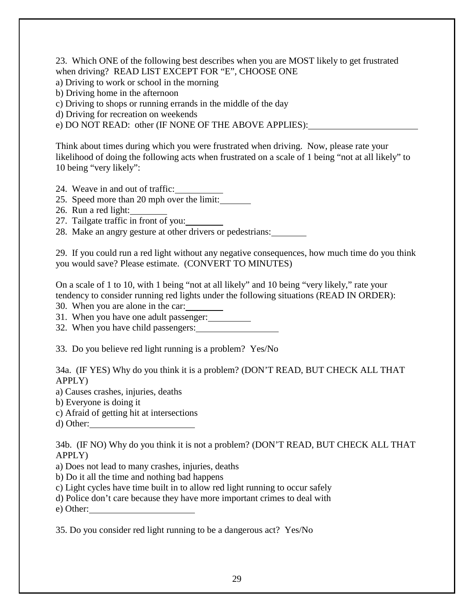23. Which ONE of the following best describes when you are MOST likely to get frustrated when driving? READ LIST EXCEPT FOR "E", CHOOSE ONE

- a) Driving to work or school in the morning
- b) Driving home in the afternoon
- c) Driving to shops or running errands in the middle of the day
- d) Driving for recreation on weekends

e) DO NOT READ: other (IF NONE OF THE ABOVE APPLIES):

Think about times during which you were frustrated when driving. Now, please rate your likelihood of doing the following acts when frustrated on a scale of 1 being "not at all likely" to 10 being "very likely":

- 24. Weave in and out of traffic:
- 25. Speed more than 20 mph over the limit:
- 26. Run a red light:
- 27. Tailgate traffic in front of you:
- 28. Make an angry gesture at other drivers or pedestrians:

29. If you could run a red light without any negative consequences, how much time do you think you would save? Please estimate. (CONVERT TO MINUTES)

On a scale of 1 to 10, with 1 being "not at all likely" and 10 being "very likely," rate your tendency to consider running red lights under the following situations (READ IN ORDER):

30. When you are alone in the car:

31. When you have one adult passenger:

32. When you have child passengers:

33. Do you believe red light running is a problem? Yes/No

34a. (IF YES) Why do you think it is a problem? (DON'T READ, BUT CHECK ALL THAT APPLY)

a) Causes crashes, injuries, deaths

- b) Everyone is doing it
- c) Afraid of getting hit at intersections
- d) Other:

34b. (IF NO) Why do you think it is not a problem? (DON'T READ, BUT CHECK ALL THAT APPLY)

a) Does not lead to many crashes, injuries, deaths

b) Do it all the time and nothing bad happens

c) Light cycles have time built in to allow red light running to occur safely

d) Police don't care because they have more important crimes to deal with

e) Other:

35. Do you consider red light running to be a dangerous act? Yes/No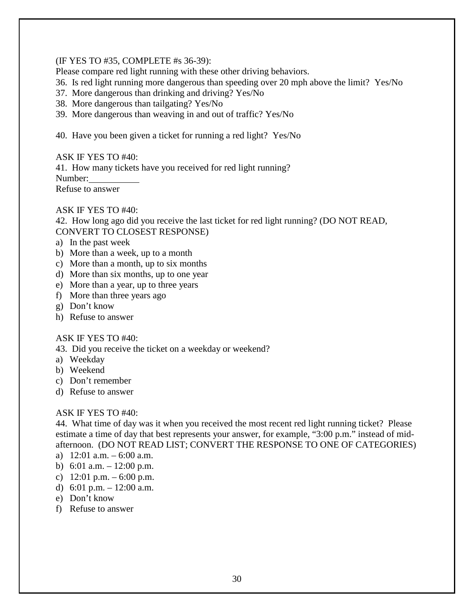#### (IF YES TO #35, COMPLETE #s 36-39):

Please compare red light running with these other driving behaviors.

- 36. Is red light running more dangerous than speeding over 20 mph above the limit? Yes/No
- 37. More dangerous than drinking and driving? Yes/No
- 38. More dangerous than tailgating? Yes/No
- 39. More dangerous than weaving in and out of traffic? Yes/No
- 40. Have you been given a ticket for running a red light? Yes/No

ASK IF YES TO #40:

41. How many tickets have you received for red light running? Number: Refuse to answer

#### ASK IF YES TO #40:

42. How long ago did you receive the last ticket for red light running? (DO NOT READ, CONVERT TO CLOSEST RESPONSE)

- a) In the past week
- b) More than a week, up to a month
- c) More than a month, up to six months
- d) More than six months, up to one year
- e) More than a year, up to three years
- f) More than three years ago
- g) Don't know
- h) Refuse to answer

## ASK IF YES TO #40:

43. Did you receive the ticket on a weekday or weekend?

- a) Weekday
- b) Weekend
- c) Don't remember
- d) Refuse to answer

## ASK IF YES TO #40:

44. What time of day was it when you received the most recent red light running ticket? Please estimate a time of day that best represents your answer, for example, "3:00 p.m." instead of midafternoon. (DO NOT READ LIST; CONVERT THE RESPONSE TO ONE OF CATEGORIES)

- a)  $12:01$  a.m.  $-6:00$  a.m.
- b) 6:01 a.m.  $-12:00$  p.m.
- c)  $12:01 \text{ p.m.} 6:00 \text{ p.m.}$
- d) 6:01 p.m.  $-12:00$  a.m.
- e) Don't know
- f) Refuse to answer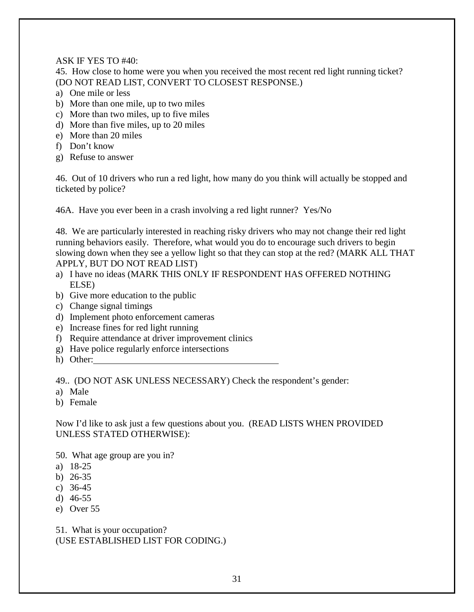ASK IF YES TO #40:

45. How close to home were you when you received the most recent red light running ticket? (DO NOT READ LIST, CONVERT TO CLOSEST RESPONSE.)

- a) One mile or less
- b) More than one mile, up to two miles
- c) More than two miles, up to five miles
- d) More than five miles, up to 20 miles
- e) More than 20 miles
- f) Don't know
- g) Refuse to answer

46. Out of 10 drivers who run a red light, how many do you think will actually be stopped and ticketed by police?

46A. Have you ever been in a crash involving a red light runner? Yes/No

48. We are particularly interested in reaching risky drivers who may not change their red light running behaviors easily. Therefore, what would you do to encourage such drivers to begin slowing down when they see a yellow light so that they can stop at the red? (MARK ALL THAT APPLY, BUT DO NOT READ LIST)

- a) I have no ideas (MARK THIS ONLY IF RESPONDENT HAS OFFERED NOTHING ELSE)
- b) Give more education to the public
- c) Change signal timings
- d) Implement photo enforcement cameras
- e) Increase fines for red light running
- f) Require attendance at driver improvement clinics
- g) Have police regularly enforce intersections
- h) Other:

49.. (DO NOT ASK UNLESS NECESSARY) Check the respondent's gender:

- a) Male
- b) Female

Now I'd like to ask just a few questions about you. (READ LISTS WHEN PROVIDED UNLESS STATED OTHERWISE):

50. What age group are you in?

- a) 18-25
- b) 26-35
- c) 36-45
- d) 46-55
- e) Over 55

51. What is your occupation? (USE ESTABLISHED LIST FOR CODING.)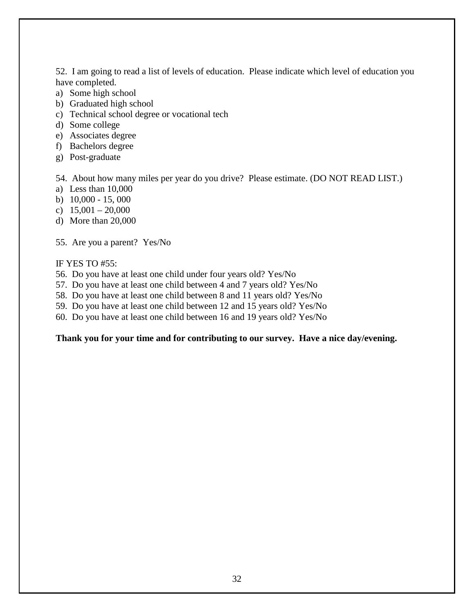52. I am going to read a list of levels of education. Please indicate which level of education you have completed.

- a) Some high school
- b) Graduated high school
- c) Technical school degree or vocational tech
- d) Some college
- e) Associates degree
- f) Bachelors degree
- g) Post-graduate

54. About how many miles per year do you drive? Please estimate. (DO NOT READ LIST.)

- a) Less than 10,000
- b) 10,000 15, 000
- c)  $15,001 20,000$
- d) More than 20,000

55. Are you a parent? Yes/No

IF YES TO #55:

- 56. Do you have at least one child under four years old? Yes/No
- 57. Do you have at least one child between 4 and 7 years old? Yes/No
- 58. Do you have at least one child between 8 and 11 years old? Yes/No
- 59. Do you have at least one child between 12 and 15 years old? Yes/No
- 60. Do you have at least one child between 16 and 19 years old? Yes/No

# **Thank you for your time and for contributing to our survey. Have a nice day/evening.**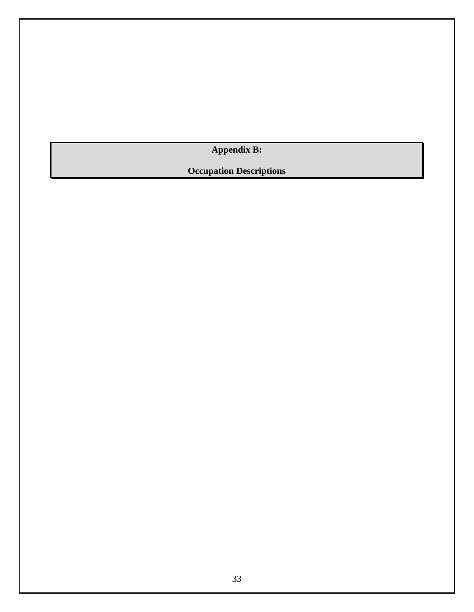**Appendix B:** 

<span id="page-32-0"></span>**Occupation Descriptions**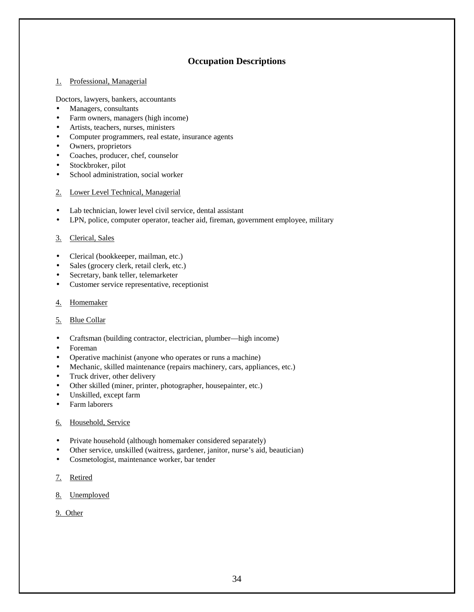### **Occupation Descriptions**

#### 1. Professional, Managerial

Doctors, lawyers, bankers, accountants

- Managers, consultants
- Farm owners, managers (high income)
- Artists, teachers, nurses, ministers
- Computer programmers, real estate, insurance agents
- Owners, proprietors
- Coaches, producer, chef, counselor
- Stockbroker, pilot
- School administration, social worker
- 2. Lower Level Technical, Managerial
- Lab technician, lower level civil service, dental assistant
- LPN, police, computer operator, teacher aid, fireman, government employee, military

#### 3. Clerical, Sales

- Clerical (bookkeeper, mailman, etc.)
- Sales (grocery clerk, retail clerk, etc.)
- Secretary, bank teller, telemarketer
- Customer service representative, receptionist
- 4. Homemaker
- 5. Blue Collar
- Craftsman (building contractor, electrician, plumber—high income)
- Foreman
- Operative machinist (anyone who operates or runs a machine)
- Mechanic, skilled maintenance (repairs machinery, cars, appliances, etc.)
- Truck driver, other delivery
- Other skilled (miner, printer, photographer, housepainter, etc.)
- Unskilled, except farm
- Farm laborers
- 6. Household, Service
- Private household (although homemaker considered separately)
- Other service, unskilled (waitress, gardener, janitor, nurse's aid, beautician)
- Cosmetologist, maintenance worker, bar tender
- 7. Retired
- 8. Unemployed
- 9. Other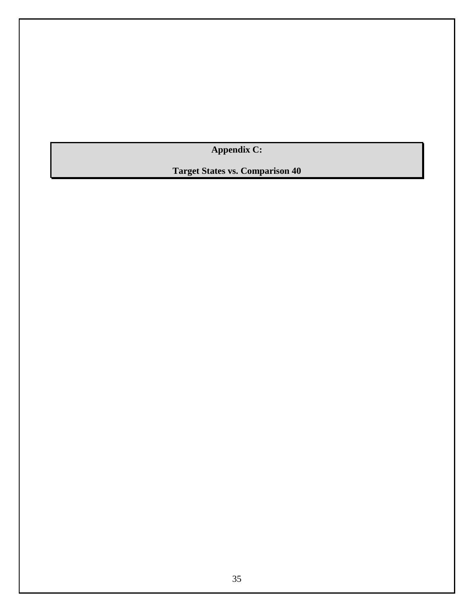**Appendix C:** 

<span id="page-34-0"></span>**Target States vs. Comparison 40**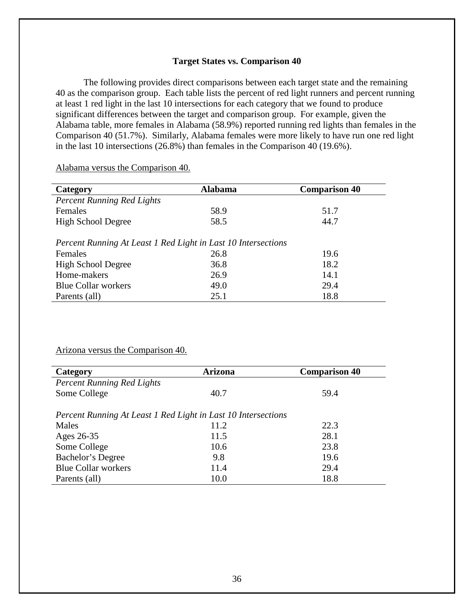#### **Target States vs. Comparison 40**

 The following provides direct comparisons between each target state and the remaining 40 as the comparison group. Each table lists the percent of red light runners and percent running at least 1 red light in the last 10 intersections for each category that we found to produce significant differences between the target and comparison group. For example, given the Alabama table, more females in Alabama (58.9%) reported running red lights than females in the Comparison 40 (51.7%). Similarly, Alabama females were more likely to have run one red light in the last 10 intersections (26.8%) than females in the Comparison 40 (19.6%).

Alabama versus the Comparison 40.

| Category                                                      | <b>Alabama</b> | <b>Comparison 40</b> |  |  |
|---------------------------------------------------------------|----------------|----------------------|--|--|
| <b>Percent Running Red Lights</b>                             |                |                      |  |  |
| Females                                                       | 58.9           | 51.7                 |  |  |
| <b>High School Degree</b>                                     | 58.5           | 44.7                 |  |  |
| Percent Running At Least 1 Red Light in Last 10 Intersections |                |                      |  |  |
| Females                                                       | 26.8           | 19.6                 |  |  |
| <b>High School Degree</b>                                     | 36.8           | 18.2                 |  |  |
| Home-makers                                                   | 26.9           | 14.1                 |  |  |
| <b>Blue Collar workers</b>                                    | 49.0           | 29.4                 |  |  |
| Parents (all)                                                 | 25.1           | 18.8                 |  |  |

#### Arizona versus the Comparison 40.

| Category                                                      | <b>Arizona</b> | <b>Comparison 40</b> |
|---------------------------------------------------------------|----------------|----------------------|
| <b>Percent Running Red Lights</b>                             |                |                      |
| Some College                                                  | 40.7           | 59.4                 |
|                                                               |                |                      |
| Percent Running At Least 1 Red Light in Last 10 Intersections |                |                      |
| Males                                                         | 11.2           | 22.3                 |
| Ages 26-35                                                    | 11.5           | 28.1                 |
| Some College                                                  | 10.6           | 23.8                 |
| Bachelor's Degree                                             | 9.8            | 19.6                 |
| <b>Blue Collar workers</b>                                    | 11.4           | 29.4                 |
| Parents (all)                                                 | 10.0           | 18.8                 |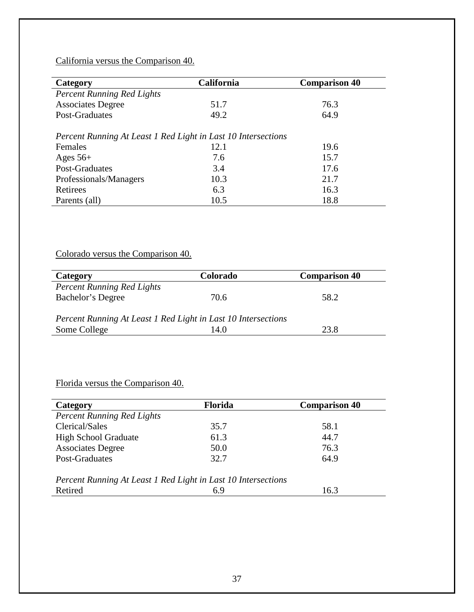# California versus the Comparison 40.

| Category                                                      | <b>California</b> | <b>Comparison 40</b> |  |  |
|---------------------------------------------------------------|-------------------|----------------------|--|--|
| <b>Percent Running Red Lights</b>                             |                   |                      |  |  |
| <b>Associates Degree</b>                                      | 51.7              | 76.3                 |  |  |
| Post-Graduates                                                | 49.2              | 64.9                 |  |  |
| Percent Running At Least 1 Red Light in Last 10 Intersections |                   |                      |  |  |
| Females                                                       | 12.1              | 19.6                 |  |  |
| Ages $56+$                                                    | 7.6               | 15.7                 |  |  |
| Post-Graduates                                                | 3.4               | 17.6                 |  |  |
| Professionals/Managers                                        | 10.3              | 21.7                 |  |  |
| Retirees                                                      | 6.3               | 16.3                 |  |  |
| Parents (all)                                                 | 10.5              | 18.8                 |  |  |

# Colorado versus the Comparison 40.

| Category                                                      | <b>Colorado</b> | <b>Comparison 40</b> |
|---------------------------------------------------------------|-----------------|----------------------|
| <b>Percent Running Red Lights</b>                             |                 |                      |
| Bachelor's Degree                                             | 70.6            | 58.2                 |
|                                                               |                 |                      |
| Percent Running At Least 1 Red Light in Last 10 Intersections |                 |                      |
| Some College                                                  | 14.0            | 23.8                 |

# Florida versus the Comparison 40.

| Category                                                      | <b>Florida</b> | <b>Comparison 40</b> |
|---------------------------------------------------------------|----------------|----------------------|
| <b>Percent Running Red Lights</b>                             |                |                      |
| Clerical/Sales                                                | 35.7           | 58.1                 |
| <b>High School Graduate</b>                                   | 61.3           | 44.7                 |
| <b>Associates Degree</b>                                      | 50.0           | 76.3                 |
| Post-Graduates                                                | 32.7           | 64.9                 |
| Percent Running At Least 1 Red Light in Last 10 Intersections |                |                      |
| Retired                                                       | 6.9            | 16.3                 |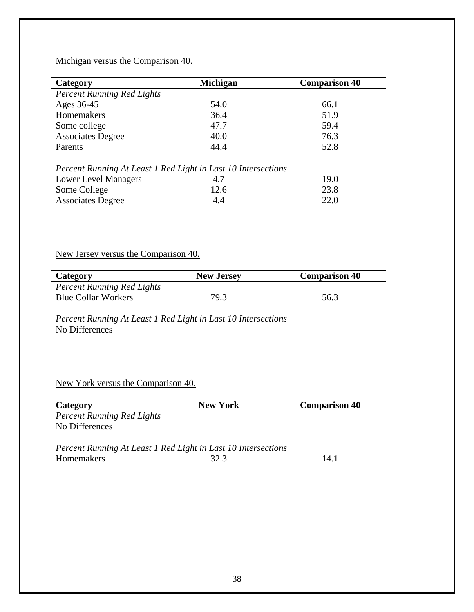## Michigan versus the Comparison 40.

| Category                                                      | <b>Michigan</b> | <b>Comparison 40</b> |
|---------------------------------------------------------------|-----------------|----------------------|
| <b>Percent Running Red Lights</b>                             |                 |                      |
| Ages 36-45                                                    | 54.0            | 66.1                 |
| <b>Homemakers</b>                                             | 36.4            | 51.9                 |
| Some college                                                  | 47.7            | 59.4                 |
| <b>Associates Degree</b>                                      | 40.0            | 76.3                 |
| Parents                                                       | 44.4            | 52.8                 |
| Percent Running At Least 1 Red Light in Last 10 Intersections |                 |                      |
| <b>Lower Level Managers</b>                                   | 4.7             | 19.0                 |
| Some College                                                  | 12.6            | 23.8                 |
| <b>Associates Degree</b>                                      | 4.4             | 22.0                 |

# New Jersey versus the Comparison 40.

| Category                          | <b>New Jersey</b> | <b>Comparison 40</b> |
|-----------------------------------|-------------------|----------------------|
| <b>Percent Running Red Lights</b> |                   |                      |
| <b>Blue Collar Workers</b>        | 79 3              | 56.3                 |

*Percent Running At Least 1 Red Light in Last 10 Intersections*  No Differences

# New York versus the Comparison 40.

| Category                                                      | <b>New York</b> | <b>Comparison 40</b> |
|---------------------------------------------------------------|-----------------|----------------------|
| <b>Percent Running Red Lights</b>                             |                 |                      |
| No Differences                                                |                 |                      |
|                                                               |                 |                      |
| Percent Running At Least 1 Red Light in Last 10 Intersections |                 |                      |
| Homemakers                                                    | 32.3            | 14.1                 |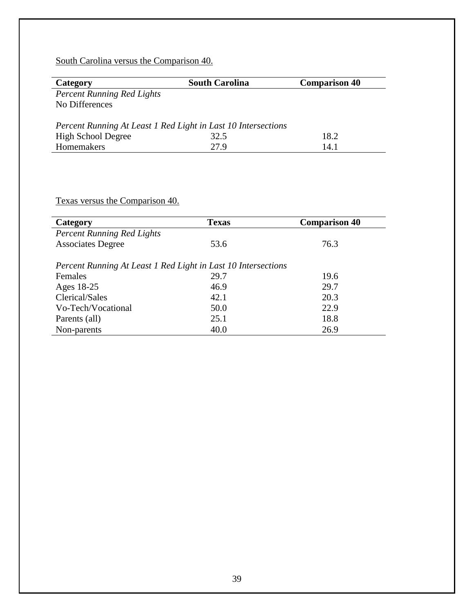South Carolina versus the Comparison 40.

| Category                                                      | <b>South Carolina</b> | <b>Comparison 40</b> |
|---------------------------------------------------------------|-----------------------|----------------------|
| <b>Percent Running Red Lights</b>                             |                       |                      |
| No Differences                                                |                       |                      |
|                                                               |                       |                      |
| Percent Running At Least 1 Red Light in Last 10 Intersections |                       |                      |
| <b>High School Degree</b>                                     | 32.5                  | 18.2                 |
| Homemakers                                                    | 27.9                  | 14.1                 |

# Texas versus the Comparison 40.

| Category                                                      | <b>Texas</b> | <b>Comparison 40</b> |
|---------------------------------------------------------------|--------------|----------------------|
| <b>Percent Running Red Lights</b>                             |              |                      |
| <b>Associates Degree</b>                                      | 53.6         | 76.3                 |
| Percent Running At Least 1 Red Light in Last 10 Intersections |              |                      |
| Females                                                       | 29.7         | 19.6                 |
| Ages 18-25                                                    | 46.9         | 29.7                 |
| Clerical/Sales                                                | 42.1         | 20.3                 |
| Vo-Tech/Vocational                                            | 50.0         | 22.9                 |
| Parents (all)                                                 | 25.1         | 18.8                 |
| Non-parents                                                   | 40.0         | 26.9                 |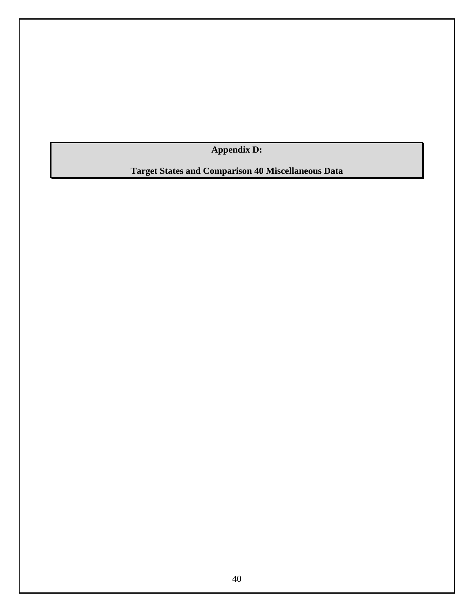**Appendix D:** 

<span id="page-39-0"></span>**Target States and Comparison 40 Miscellaneous Data**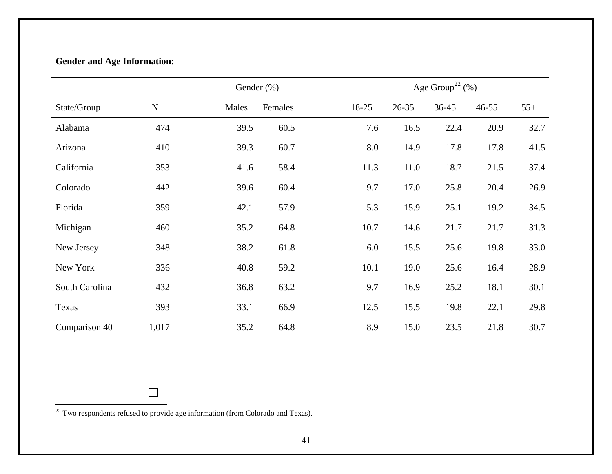# **Gender and Age Information:**

|                |                          | Gender (%) |         |       | Age Group <sup>22</sup> $(\%)$ |           |           |       |  |
|----------------|--------------------------|------------|---------|-------|--------------------------------|-----------|-----------|-------|--|
| State/Group    | $\underline{\mathbf{N}}$ | Males      | Females | 18-25 | $26 - 35$                      | $36 - 45$ | $46 - 55$ | $55+$ |  |
| Alabama        | 474                      | 39.5       | 60.5    | 7.6   | 16.5                           | 22.4      | 20.9      | 32.7  |  |
| Arizona        | 410                      | 39.3       | 60.7    | 8.0   | 14.9                           | 17.8      | 17.8      | 41.5  |  |
| California     | 353                      | 41.6       | 58.4    | 11.3  | 11.0                           | 18.7      | 21.5      | 37.4  |  |
| Colorado       | 442                      | 39.6       | 60.4    | 9.7   | 17.0                           | 25.8      | 20.4      | 26.9  |  |
| Florida        | 359                      | 42.1       | 57.9    | 5.3   | 15.9                           | 25.1      | 19.2      | 34.5  |  |
| Michigan       | 460                      | 35.2       | 64.8    | 10.7  | 14.6                           | 21.7      | 21.7      | 31.3  |  |
| New Jersey     | 348                      | 38.2       | 61.8    | 6.0   | 15.5                           | 25.6      | 19.8      | 33.0  |  |
| New York       | 336                      | 40.8       | 59.2    | 10.1  | 19.0                           | 25.6      | 16.4      | 28.9  |  |
| South Carolina | 432                      | 36.8       | 63.2    | 9.7   | 16.9                           | 25.2      | 18.1      | 30.1  |  |
| Texas          | 393                      | 33.1       | 66.9    | 12.5  | 15.5                           | 19.8      | 22.1      | 29.8  |  |
| Comparison 40  | 1,017                    | 35.2       | 64.8    | 8.9   | 15.0                           | 23.5      | 21.8      | 30.7  |  |

 $22$  Two respondents refused to provide age information (from Colorado and Texas).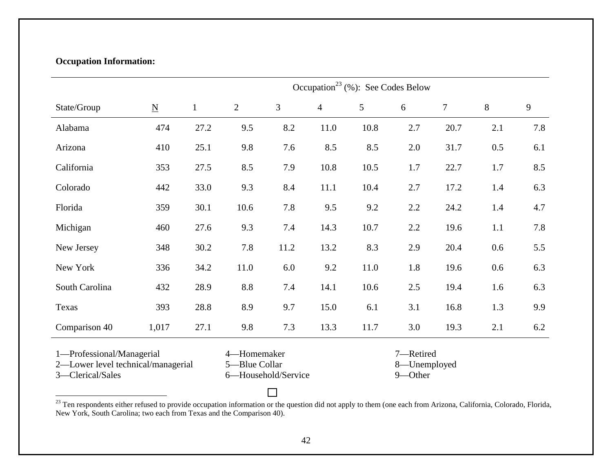# **Occupation Information:**

|                                                                                                                                            |                          |              | Occupation <sup>23</sup> (%): See Codes Below |      |                                      |      |         |        |       |     |
|--------------------------------------------------------------------------------------------------------------------------------------------|--------------------------|--------------|-----------------------------------------------|------|--------------------------------------|------|---------|--------|-------|-----|
| State/Group                                                                                                                                | $\underline{\mathbf{N}}$ | $\mathbf{1}$ | $\overline{2}$                                | 3    | $\overline{4}$                       | 5    | 6       | $\tau$ | $8\,$ | 9   |
| Alabama                                                                                                                                    | 474                      | 27.2         | 9.5                                           | 8.2  | 11.0                                 | 10.8 | 2.7     | 20.7   | 2.1   | 7.8 |
| Arizona                                                                                                                                    | 410                      | 25.1         | 9.8                                           | 7.6  | 8.5                                  | 8.5  | $2.0\,$ | 31.7   | 0.5   | 6.1 |
| California                                                                                                                                 | 353                      | 27.5         | 8.5                                           | 7.9  | 10.8                                 | 10.5 | 1.7     | 22.7   | 1.7   | 8.5 |
| Colorado                                                                                                                                   | 442                      | 33.0         | 9.3                                           | 8.4  | 11.1                                 | 10.4 | 2.7     | 17.2   | 1.4   | 6.3 |
| Florida                                                                                                                                    | 359                      | 30.1         | 10.6                                          | 7.8  | 9.5                                  | 9.2  | 2.2     | 24.2   | 1.4   | 4.7 |
| Michigan                                                                                                                                   | 460                      | 27.6         | 9.3                                           | 7.4  | 14.3                                 | 10.7 | 2.2     | 19.6   | 1.1   | 7.8 |
| New Jersey                                                                                                                                 | 348                      | 30.2         | 7.8                                           | 11.2 | 13.2                                 | 8.3  | 2.9     | 20.4   | 0.6   | 5.5 |
| New York                                                                                                                                   | 336                      | 34.2         | 11.0                                          | 6.0  | 9.2                                  | 11.0 | 1.8     | 19.6   | 0.6   | 6.3 |
| South Carolina                                                                                                                             | 432                      | 28.9         | 8.8                                           | 7.4  | 14.1                                 | 10.6 | 2.5     | 19.4   | 1.6   | 6.3 |
| Texas                                                                                                                                      | 393                      | 28.8         | 8.9                                           | 9.7  | 15.0                                 | 6.1  | 3.1     | 16.8   | 1.3   | 9.9 |
| Comparison 40                                                                                                                              | 1,017                    | 27.1         | 9.8                                           | 7.3  | 13.3                                 | 11.7 | 3.0     | 19.3   | 2.1   | 6.2 |
| 1-Professional/Managerial<br>4-Homemaker<br>2-Lower level technical/managerial<br>5-Blue Collar<br>3-Clerical/Sales<br>6-Household/Service |                          |              |                                               |      | 7-Retired<br>8-Unemployed<br>9-Other |      |         |        |       |     |

<sup>&</sup>lt;sup>23</sup> Ten respondents either refused to provide occupation information or the question did not apply to them (one each from Arizona, California, Colorado, Florida, New York, South Carolina; two each from Texas and the Comparison 40).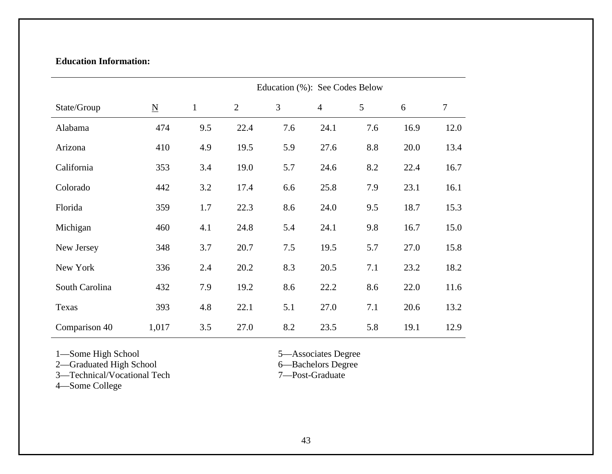# **Education Information:**

|                | Education (%): See Codes Below |              |                |     |                |     |      |        |
|----------------|--------------------------------|--------------|----------------|-----|----------------|-----|------|--------|
| State/Group    | $\underline{\mathbf{N}}$       | $\mathbf{1}$ | $\overline{2}$ | 3   | $\overline{4}$ | 5   | 6    | $\tau$ |
| Alabama        | 474                            | 9.5          | 22.4           | 7.6 | 24.1           | 7.6 | 16.9 | 12.0   |
| Arizona        | 410                            | 4.9          | 19.5           | 5.9 | 27.6           | 8.8 | 20.0 | 13.4   |
| California     | 353                            | 3.4          | 19.0           | 5.7 | 24.6           | 8.2 | 22.4 | 16.7   |
| Colorado       | 442                            | 3.2          | 17.4           | 6.6 | 25.8           | 7.9 | 23.1 | 16.1   |
| Florida        | 359                            | 1.7          | 22.3           | 8.6 | 24.0           | 9.5 | 18.7 | 15.3   |
| Michigan       | 460                            | 4.1          | 24.8           | 5.4 | 24.1           | 9.8 | 16.7 | 15.0   |
| New Jersey     | 348                            | 3.7          | 20.7           | 7.5 | 19.5           | 5.7 | 27.0 | 15.8   |
| New York       | 336                            | 2.4          | 20.2           | 8.3 | 20.5           | 7.1 | 23.2 | 18.2   |
| South Carolina | 432                            | 7.9          | 19.2           | 8.6 | 22.2           | 8.6 | 22.0 | 11.6   |
| Texas          | 393                            | 4.8          | 22.1           | 5.1 | 27.0           | 7.1 | 20.6 | 13.2   |
| Comparison 40  | 1,017                          | 3.5          | 27.0           | 8.2 | 23.5           | 5.8 | 19.1 | 12.9   |

1—Some High School 5—Associates Degree

2—Graduated High School 6—Bachelors Degree

3—Technical/Vocational Tech 7—Post-Graduate

4—Some College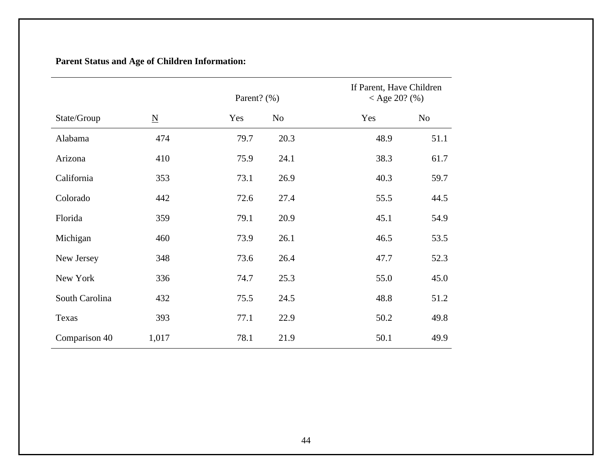# **Parent Status and Age of Children Information:**

|                |                          | Parent? (%) |                | If Parent, Have Children<br>< Age 20? $(\% )$ |                |
|----------------|--------------------------|-------------|----------------|-----------------------------------------------|----------------|
| State/Group    | $\underline{\mathbf{N}}$ | Yes         | N <sub>o</sub> | Yes                                           | N <sub>o</sub> |
| Alabama        | 474                      | 79.7        | 20.3           | 48.9                                          | 51.1           |
| Arizona        | 410                      | 75.9        | 24.1           | 38.3                                          | 61.7           |
| California     | 353                      | 73.1        | 26.9           | 40.3                                          | 59.7           |
| Colorado       | 442                      | 72.6        | 27.4           | 55.5                                          | 44.5           |
| Florida        | 359                      | 79.1        | 20.9           | 45.1                                          | 54.9           |
| Michigan       | 460                      | 73.9        | 26.1           | 46.5                                          | 53.5           |
| New Jersey     | 348                      | 73.6        | 26.4           | 47.7                                          | 52.3           |
| New York       | 336                      | 74.7        | 25.3           | 55.0                                          | 45.0           |
| South Carolina | 432                      | 75.5        | 24.5           | 48.8                                          | 51.2           |
| Texas          | 393                      | 77.1        | 22.9           | 50.2                                          | 49.8           |
| Comparison 40  | 1,017                    | 78.1        | 21.9           | 50.1                                          | 49.9           |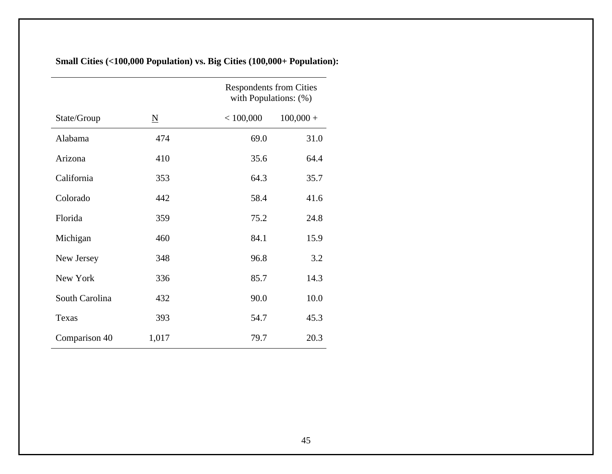|                |                     | <b>Respondents from Cities</b><br>with Populations: (%) |
|----------------|---------------------|---------------------------------------------------------|
| State/Group    | $\underline{\rm N}$ | < 100,000<br>$100,000 +$                                |
| Alabama        | 474                 | 69.0<br>31.0                                            |
| Arizona        | 410                 | 35.6<br>64.4                                            |
| California     | 353                 | 35.7<br>64.3                                            |
| Colorado       | 442                 | 58.4<br>41.6                                            |
| Florida        | 359                 | 75.2<br>24.8                                            |
| Michigan       | 460                 | 84.1<br>15.9                                            |
| New Jersey     | 348                 | 96.8<br>3.2                                             |
| New York       | 336                 | 14.3<br>85.7                                            |
| South Carolina | 432                 | 90.0<br>10.0                                            |
| Texas          | 393                 | 54.7<br>45.3                                            |
| Comparison 40  | 1,017               | 20.3<br>79.7                                            |

**Small Cities (<100,000 Population) vs. Big Cities (100,000+ Population):**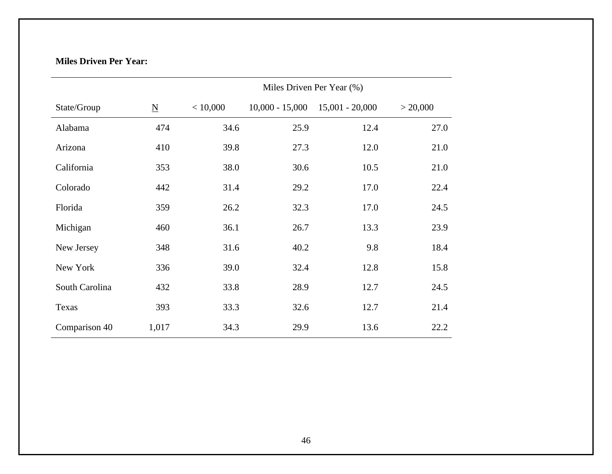# **Miles Driven Per Year:**

|                |                          | Miles Driven Per Year (%) |                   |                   |          |  |
|----------------|--------------------------|---------------------------|-------------------|-------------------|----------|--|
| State/Group    | $\underline{\mathbf{N}}$ | < 10,000                  | $10,000 - 15,000$ | $15,001 - 20,000$ | > 20,000 |  |
| Alabama        | 474                      | 34.6                      | 25.9              | 12.4              | 27.0     |  |
| Arizona        | 410                      | 39.8                      | 27.3              | 12.0              | 21.0     |  |
| California     | 353                      | 38.0                      | 30.6              | 10.5              | 21.0     |  |
| Colorado       | 442                      | 31.4                      | 29.2              | 17.0              | 22.4     |  |
| Florida        | 359                      | 26.2                      | 32.3              | 17.0              | 24.5     |  |
| Michigan       | 460                      | 36.1                      | 26.7              | 13.3              | 23.9     |  |
| New Jersey     | 348                      | 31.6                      | 40.2              | 9.8               | 18.4     |  |
| New York       | 336                      | 39.0                      | 32.4              | 12.8              | 15.8     |  |
| South Carolina | 432                      | 33.8                      | 28.9              | 12.7              | 24.5     |  |
| Texas          | 393                      | 33.3                      | 32.6              | 12.7              | 21.4     |  |
| Comparison 40  | 1,017                    | 34.3                      | 29.9              | 13.6              | 22.2     |  |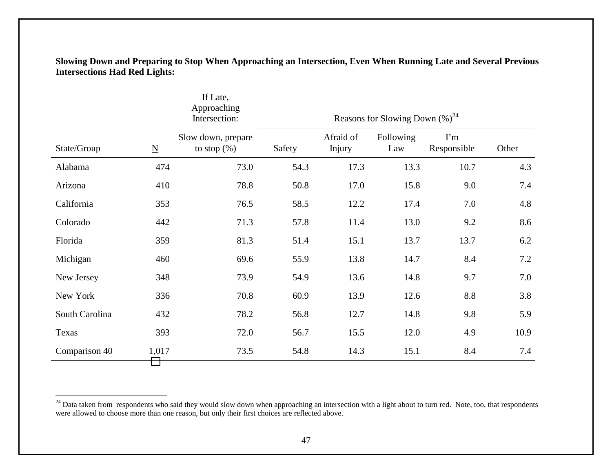|                |                          | If Late,<br>Approaching<br>Intersection: | Reasons for Slowing Down $(\%)^{24}$ |                     |                  |                           |       |  |
|----------------|--------------------------|------------------------------------------|--------------------------------------|---------------------|------------------|---------------------------|-------|--|
| State/Group    | $\underline{\mathbf{N}}$ | Slow down, prepare<br>to stop $(\%)$     | Safety                               | Afraid of<br>Injury | Following<br>Law | $\Gamma$ m<br>Responsible | Other |  |
| Alabama        | 474                      | 73.0                                     | 54.3                                 | 17.3                | 13.3             | 10.7                      | 4.3   |  |
| Arizona        | 410                      | 78.8                                     | 50.8                                 | 17.0                | 15.8             | 9.0                       | 7.4   |  |
| California     | 353                      | 76.5                                     | 58.5                                 | 12.2                | 17.4             | 7.0                       | 4.8   |  |
| Colorado       | 442                      | 71.3                                     | 57.8                                 | 11.4                | 13.0             | 9.2                       | 8.6   |  |
| Florida        | 359                      | 81.3                                     | 51.4                                 | 15.1                | 13.7             | 13.7                      | 6.2   |  |
| Michigan       | 460                      | 69.6                                     | 55.9                                 | 13.8                | 14.7             | 8.4                       | 7.2   |  |
| New Jersey     | 348                      | 73.9                                     | 54.9                                 | 13.6                | 14.8             | 9.7                       | 7.0   |  |
| New York       | 336                      | 70.8                                     | 60.9                                 | 13.9                | 12.6             | 8.8                       | 3.8   |  |
| South Carolina | 432                      | 78.2                                     | 56.8                                 | 12.7                | 14.8             | 9.8                       | 5.9   |  |
| Texas          | 393                      | 72.0                                     | 56.7                                 | 15.5                | 12.0             | 4.9                       | 10.9  |  |
| Comparison 40  | 1,017                    | 73.5                                     | 54.8                                 | 14.3                | 15.1             | 8.4                       | 7.4   |  |

**Slowing Down and Preparing to Stop When Approaching an Intersection, Even When Running Late and Several Previous Intersections Had Red Lights:** 

<sup>&</sup>lt;sup>24</sup> Data taken from respondents who said they would slow down when approaching an intersection with a light about to turn red. Note, too, that respondents were allowed to choose more than one reason, but only their first choices are reflected above.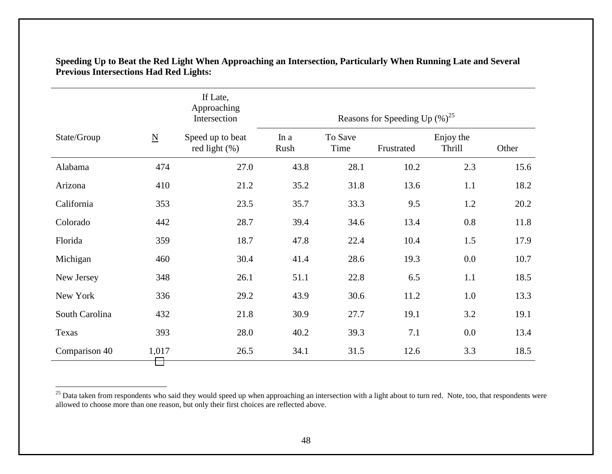|                |                          | If Late,<br>Approaching<br>Intersection | Reasons for Speeding Up $(\%)^{25}$ |                 |            |                            |       |
|----------------|--------------------------|-----------------------------------------|-------------------------------------|-----------------|------------|----------------------------|-------|
| State/Group    | $\underline{\mathbf{N}}$ | Speed up to beat<br>red light $(\%)$    | In a<br>Rush                        | To Save<br>Time | Frustrated | Enjoy the<br><b>Thrill</b> | Other |
| Alabama        | 474                      | 27.0                                    | 43.8                                | 28.1            | 10.2       | 2.3                        | 15.6  |
| Arizona        | 410                      | 21.2                                    | 35.2                                | 31.8            | 13.6       | 1.1                        | 18.2  |
| California     | 353                      | 23.5                                    | 35.7                                | 33.3            | 9.5        | 1.2                        | 20.2  |
| Colorado       | 442                      | 28.7                                    | 39.4                                | 34.6            | 13.4       | 0.8                        | 11.8  |
| Florida        | 359                      | 18.7                                    | 47.8                                | 22.4            | 10.4       | 1.5                        | 17.9  |
| Michigan       | 460                      | 30.4                                    | 41.4                                | 28.6            | 19.3       | 0.0                        | 10.7  |
| New Jersey     | 348                      | 26.1                                    | 51.1                                | 22.8            | 6.5        | 1.1                        | 18.5  |
| New York       | 336                      | 29.2                                    | 43.9                                | 30.6            | 11.2       | 1.0                        | 13.3  |
| South Carolina | 432                      | 21.8                                    | 30.9                                | 27.7            | 19.1       | 3.2                        | 19.1  |
| Texas          | 393                      | 28.0                                    | 40.2                                | 39.3            | 7.1        | 0.0                        | 13.4  |
| Comparison 40  | 1,017                    | 26.5                                    | 34.1                                | 31.5            | 12.6       | 3.3                        | 18.5  |

**Speeding Up to Beat the Red Light When Approaching an Intersection, Particularly When Running Late and Several Previous Intersections Had Red Lights:**

<sup>&</sup>lt;sup>25</sup> Data taken from respondents who said they would speed up when approaching an intersection with a light about to turn red. Note, too, that respondents were allowed to choose more than one reason, but only their first choices are reflected above.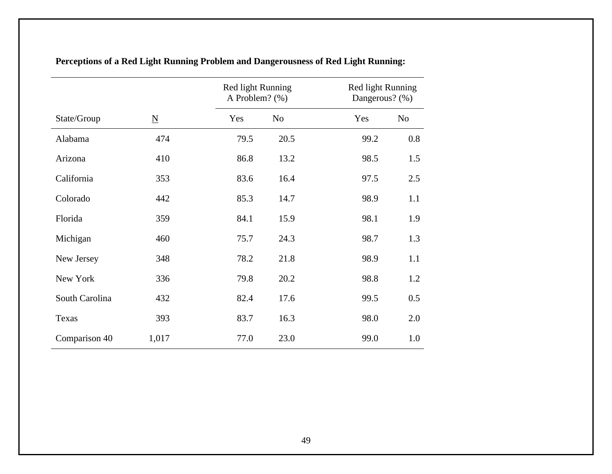|                |                          | Red light Running<br>A Problem? (%) |                |      | Red light Running<br>Dangerous? (%) |
|----------------|--------------------------|-------------------------------------|----------------|------|-------------------------------------|
| State/Group    | $\underline{\mathbf{N}}$ | Yes                                 | N <sub>o</sub> | Yes  | N <sub>o</sub>                      |
| Alabama        | 474                      | 79.5                                | 20.5           | 99.2 | 0.8                                 |
| Arizona        | 410                      | 86.8                                | 13.2           | 98.5 | 1.5                                 |
| California     | 353                      | 83.6                                | 16.4           | 97.5 | 2.5                                 |
| Colorado       | 442                      | 85.3                                | 14.7           | 98.9 | 1.1                                 |
| Florida        | 359                      | 84.1                                | 15.9           | 98.1 | 1.9                                 |
| Michigan       | 460                      | 75.7                                | 24.3           | 98.7 | 1.3                                 |
| New Jersey     | 348                      | 78.2                                | 21.8           | 98.9 | 1.1                                 |
| New York       | 336                      | 79.8                                | 20.2           | 98.8 | 1.2                                 |
| South Carolina | 432                      | 82.4                                | 17.6           | 99.5 | 0.5                                 |
| Texas          | 393                      | 83.7                                | 16.3           | 98.0 | 2.0                                 |
| Comparison 40  | 1,017                    | 77.0                                | 23.0           | 99.0 | 1.0                                 |

**Perceptions of a Red Light Running Problem and Dangerousness of Red Light Running:**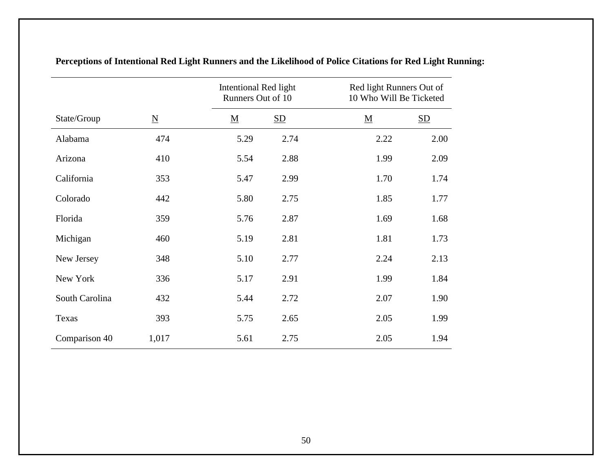|                |                          |                          | Intentional Red light<br>Runners Out of 10 |                          | Red light Runners Out of<br>10 Who Will Be Ticketed |
|----------------|--------------------------|--------------------------|--------------------------------------------|--------------------------|-----------------------------------------------------|
| State/Group    | $\underline{\mathbf{N}}$ | $\underline{\mathbf{M}}$ | $\underline{\mathrm{SD}}$                  | $\underline{\mathbf{M}}$ | $\underline{\mathrm{SD}}$                           |
| Alabama        | 474                      | 5.29                     | 2.74                                       | 2.22                     | 2.00                                                |
| Arizona        | 410                      | 5.54                     | 2.88                                       | 1.99                     | 2.09                                                |
| California     | 353                      | 5.47                     | 2.99                                       | 1.70                     | 1.74                                                |
| Colorado       | 442                      | 5.80                     | 2.75                                       | 1.85                     | 1.77                                                |
| Florida        | 359                      | 5.76                     | 2.87                                       | 1.69                     | 1.68                                                |
| Michigan       | 460                      | 5.19                     | 2.81                                       | 1.81                     | 1.73                                                |
| New Jersey     | 348                      | 5.10                     | 2.77                                       | 2.24                     | 2.13                                                |
| New York       | 336                      | 5.17                     | 2.91                                       | 1.99                     | 1.84                                                |
| South Carolina | 432                      | 5.44                     | 2.72                                       | 2.07                     | 1.90                                                |
| Texas          | 393                      | 5.75                     | 2.65                                       | 2.05                     | 1.99                                                |
| Comparison 40  | 1,017                    | 5.61                     | 2.75                                       | 2.05                     | 1.94                                                |

**Perceptions of Intentional Red Light Runners and the Likelihood of Police Citations for Red Light Running:**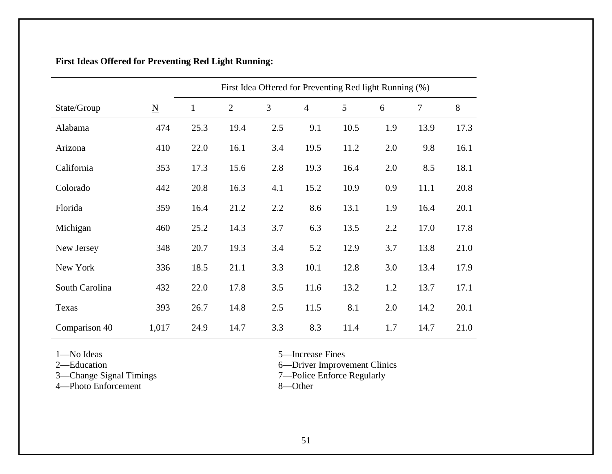|                |                          | First Idea Offered for Preventing Red light Running (%) |              |     |                |      |     |      |      |
|----------------|--------------------------|---------------------------------------------------------|--------------|-----|----------------|------|-----|------|------|
| State/Group    | $\underline{\mathbf{N}}$ | $\mathbf{1}$                                            | $\mathbf{2}$ | 3   | $\overline{4}$ | 5    | 6   | 7    | 8    |
| Alabama        | 474                      | 25.3                                                    | 19.4         | 2.5 | 9.1            | 10.5 | 1.9 | 13.9 | 17.3 |
| Arizona        | 410                      | 22.0                                                    | 16.1         | 3.4 | 19.5           | 11.2 | 2.0 | 9.8  | 16.1 |
| California     | 353                      | 17.3                                                    | 15.6         | 2.8 | 19.3           | 16.4 | 2.0 | 8.5  | 18.1 |
| Colorado       | 442                      | 20.8                                                    | 16.3         | 4.1 | 15.2           | 10.9 | 0.9 | 11.1 | 20.8 |
| Florida        | 359                      | 16.4                                                    | 21.2         | 2.2 | 8.6            | 13.1 | 1.9 | 16.4 | 20.1 |
| Michigan       | 460                      | 25.2                                                    | 14.3         | 3.7 | 6.3            | 13.5 | 2.2 | 17.0 | 17.8 |
| New Jersey     | 348                      | 20.7                                                    | 19.3         | 3.4 | 5.2            | 12.9 | 3.7 | 13.8 | 21.0 |
| New York       | 336                      | 18.5                                                    | 21.1         | 3.3 | 10.1           | 12.8 | 3.0 | 13.4 | 17.9 |
| South Carolina | 432                      | 22.0                                                    | 17.8         | 3.5 | 11.6           | 13.2 | 1.2 | 13.7 | 17.1 |
| Texas          | 393                      | 26.7                                                    | 14.8         | 2.5 | 11.5           | 8.1  | 2.0 | 14.2 | 20.1 |
| Comparison 40  | 1,017                    | 24.9                                                    | 14.7         | 3.3 | 8.3            | 11.4 | 1.7 | 14.7 | 21.0 |

# **First Ideas Offered for Preventing Red Light Running:**

3—Change Signal Timings<br>4—Photo Enforcement 8—Other

1—No Ideas 5—Increase Fines

2—Education 6—Driver Improvement Clinics

3—Change Signal Timings 7—Police Enforce Regularly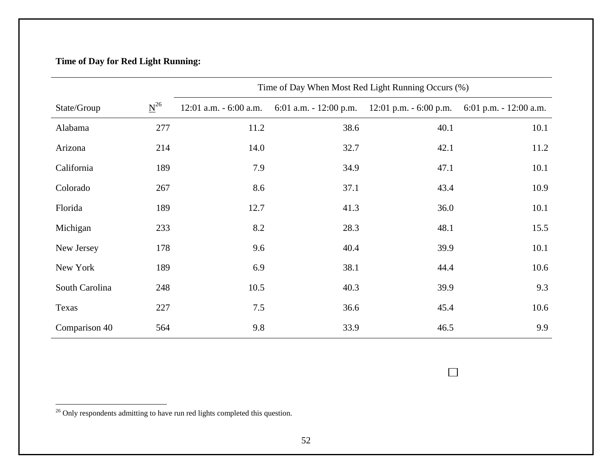# **Time of Day for Red Light Running:**

|                |          | Time of Day When Most Red Light Running Occurs (%) |                                                                             |      |                         |  |  |  |
|----------------|----------|----------------------------------------------------|-----------------------------------------------------------------------------|------|-------------------------|--|--|--|
| State/Group    | $N^{26}$ |                                                    | 12:01 a.m. $-6:00$ a.m. $6:01$ a.m. $-12:00$ p.m. $12:01$ p.m. $-6:00$ p.m. |      | 6:01 p.m. $-12:00$ a.m. |  |  |  |
| Alabama        | 277      | 11.2                                               | 38.6                                                                        | 40.1 | 10.1                    |  |  |  |
| Arizona        | 214      | 14.0                                               | 32.7                                                                        | 42.1 | 11.2                    |  |  |  |
| California     | 189      | 7.9                                                | 34.9                                                                        | 47.1 | 10.1                    |  |  |  |
| Colorado       | 267      | 8.6                                                | 37.1                                                                        | 43.4 | 10.9                    |  |  |  |
| Florida        | 189      | 12.7                                               | 41.3                                                                        | 36.0 | 10.1                    |  |  |  |
| Michigan       | 233      | 8.2                                                | 28.3                                                                        | 48.1 | 15.5                    |  |  |  |
| New Jersey     | 178      | 9.6                                                | 40.4                                                                        | 39.9 | 10.1                    |  |  |  |
| New York       | 189      | 6.9                                                | 38.1                                                                        | 44.4 | 10.6                    |  |  |  |
| South Carolina | 248      | 10.5                                               | 40.3                                                                        | 39.9 | 9.3                     |  |  |  |
| Texas          | 227      | 7.5                                                | 36.6                                                                        | 45.4 | 10.6                    |  |  |  |
| Comparison 40  | 564      | 9.8                                                | 33.9                                                                        | 46.5 | 9.9                     |  |  |  |

 $^{26}$  Only respondents admitting to have run red lights completed this question.

 $\overline{\phantom{a}}$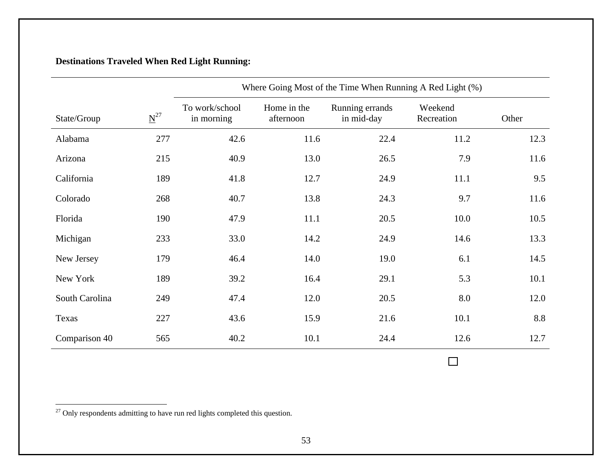# **Destinations Traveled When Red Light Running:**

|                |                      | Where Going Most of the Time When Running A Red Light (%) |                          |                               |                       |       |  |  |
|----------------|----------------------|-----------------------------------------------------------|--------------------------|-------------------------------|-----------------------|-------|--|--|
| State/Group    | $\underline{N}^{27}$ | To work/school<br>in morning                              | Home in the<br>afternoon | Running errands<br>in mid-day | Weekend<br>Recreation | Other |  |  |
| Alabama        | 277                  | 42.6                                                      | 11.6                     | 22.4                          | 11.2                  | 12.3  |  |  |
| Arizona        | 215                  | 40.9                                                      | 13.0                     | 26.5                          | 7.9                   | 11.6  |  |  |
| California     | 189                  | 41.8                                                      | 12.7                     | 24.9                          | 11.1                  | 9.5   |  |  |
| Colorado       | 268                  | 40.7                                                      | 13.8                     | 24.3                          | 9.7                   | 11.6  |  |  |
| Florida        | 190                  | 47.9                                                      | 11.1                     | 20.5                          | 10.0                  | 10.5  |  |  |
| Michigan       | 233                  | 33.0                                                      | 14.2                     | 24.9                          | 14.6                  | 13.3  |  |  |
| New Jersey     | 179                  | 46.4                                                      | 14.0                     | 19.0                          | 6.1                   | 14.5  |  |  |
| New York       | 189                  | 39.2                                                      | 16.4                     | 29.1                          | 5.3                   | 10.1  |  |  |
| South Carolina | 249                  | 47.4                                                      | 12.0                     | 20.5                          | 8.0                   | 12.0  |  |  |
| Texas          | 227                  | 43.6                                                      | 15.9                     | 21.6                          | 10.1                  | 8.8   |  |  |
| Comparison 40  | 565                  | 40.2                                                      | 10.1                     | 24.4                          | 12.6                  | 12.7  |  |  |

<u> 1980 - Johann Barnett, fransk konge</u>

 $27$  Only respondents admitting to have run red lights completed this question.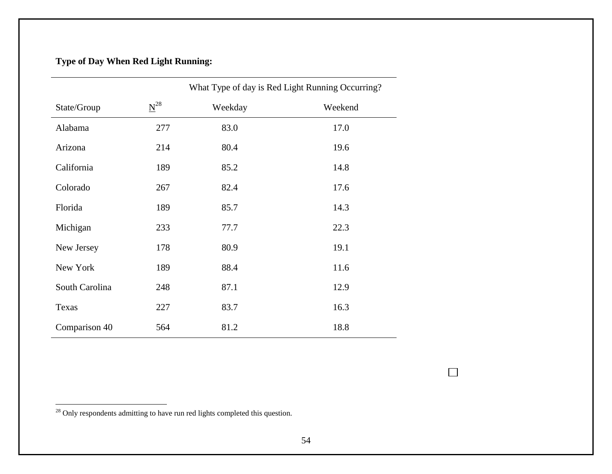# **Type of Day When Red Light Running:**

|                |          | What Type of day is Red Light Running Occurring? |         |  |  |  |
|----------------|----------|--------------------------------------------------|---------|--|--|--|
| State/Group    | $N^{28}$ | Weekday                                          | Weekend |  |  |  |
| Alabama        | 277      | 83.0                                             | 17.0    |  |  |  |
| Arizona        | 214      | 80.4                                             | 19.6    |  |  |  |
| California     | 189      | 85.2                                             | 14.8    |  |  |  |
| Colorado       | 267      | 82.4                                             | 17.6    |  |  |  |
| Florida        | 189      | 85.7                                             | 14.3    |  |  |  |
| Michigan       | 233      | 77.7                                             | 22.3    |  |  |  |
| New Jersey     | 178      | 80.9                                             | 19.1    |  |  |  |
| New York       | 189      | 88.4                                             | 11.6    |  |  |  |
| South Carolina | 248      | 87.1                                             | 12.9    |  |  |  |
| Texas          | 227      | 83.7                                             | 16.3    |  |  |  |
| Comparison 40  | 564      | 81.2                                             | 18.8    |  |  |  |

<sup>&</sup>lt;sup>28</sup> Only respondents admitting to have run red lights completed this question.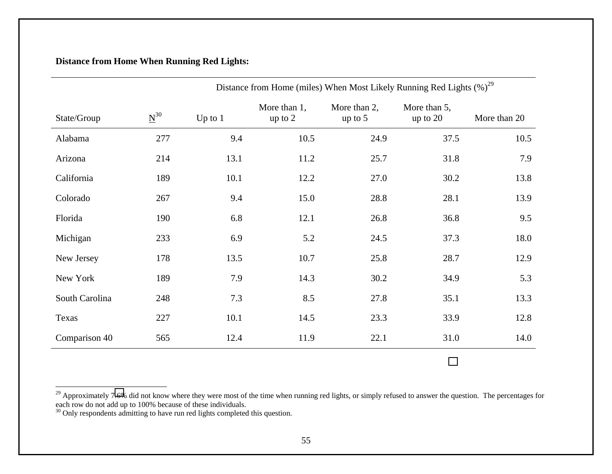## **Distance from Home When Running Red Lights:**

|                |                      |           | Distance from Home (miles) When Most Likely Running Red Lights $(\%)^{29}$ |                           |                            |              |  |  |
|----------------|----------------------|-----------|----------------------------------------------------------------------------|---------------------------|----------------------------|--------------|--|--|
| State/Group    | $\underline{N}^{30}$ | Up to $1$ | More than 1,<br>up to 2                                                    | More than 2,<br>up to $5$ | More than 5,<br>up to $20$ | More than 20 |  |  |
| Alabama        | 277                  | 9.4       | 10.5                                                                       | 24.9                      | 37.5                       | 10.5         |  |  |
| Arizona        | 214                  | 13.1      | 11.2                                                                       | 25.7                      | 31.8                       | 7.9          |  |  |
| California     | 189                  | 10.1      | 12.2                                                                       | 27.0                      | 30.2                       | 13.8         |  |  |
| Colorado       | 267                  | 9.4       | 15.0                                                                       | 28.8                      | 28.1                       | 13.9         |  |  |
| Florida        | 190                  | 6.8       | 12.1                                                                       | 26.8                      | 36.8                       | 9.5          |  |  |
| Michigan       | 233                  | 6.9       | 5.2                                                                        | 24.5                      | 37.3                       | 18.0         |  |  |
| New Jersey     | 178                  | 13.5      | 10.7                                                                       | 25.8                      | 28.7                       | 12.9         |  |  |
| New York       | 189                  | 7.9       | 14.3                                                                       | 30.2                      | 34.9                       | 5.3          |  |  |
| South Carolina | 248                  | 7.3       | 8.5                                                                        | 27.8                      | 35.1                       | 13.3         |  |  |
| Texas          | 227                  | 10.1      | 14.5                                                                       | 23.3                      | 33.9                       | 12.8         |  |  |
| Comparison 40  | 565                  | 12.4      | 11.9                                                                       | 22.1                      | 31.0                       | 14.0         |  |  |

 $^{29}$  Approximately 7.6% did not know where they were most of the time when running red lights, or simply refused to answer the question. The percentages for each row do not add up to 100% because of these individuals.

 $30$  Only respondents admitting to have run red lights completed this question.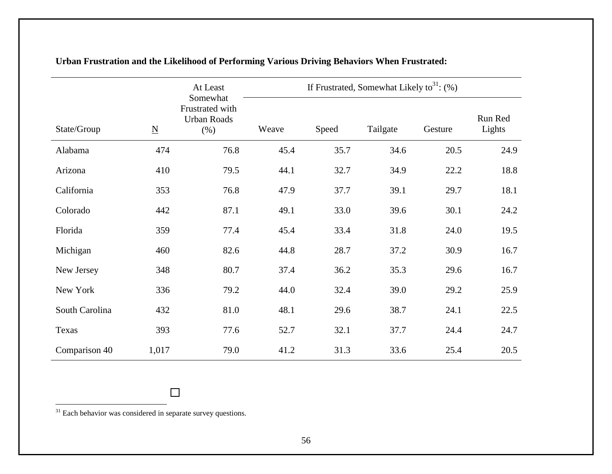|                |                          | At Least                                           | If Frustrated, Somewhat Likely to <sup>31</sup> : $(\%)$ |       |          |         |                   |
|----------------|--------------------------|----------------------------------------------------|----------------------------------------------------------|-------|----------|---------|-------------------|
| State/Group    | $\underline{\mathbf{N}}$ | Somewhat<br>Frustrated with<br>Urban Roads<br>(% ) | Weave                                                    | Speed | Tailgate | Gesture | Run Red<br>Lights |
| Alabama        | 474                      | 76.8                                               | 45.4                                                     | 35.7  | 34.6     | 20.5    | 24.9              |
| Arizona        | 410                      | 79.5                                               | 44.1                                                     | 32.7  | 34.9     | 22.2    | 18.8              |
| California     | 353                      | 76.8                                               | 47.9                                                     | 37.7  | 39.1     | 29.7    | 18.1              |
| Colorado       | 442                      | 87.1                                               | 49.1                                                     | 33.0  | 39.6     | 30.1    | 24.2              |
| Florida        | 359                      | 77.4                                               | 45.4                                                     | 33.4  | 31.8     | 24.0    | 19.5              |
| Michigan       | 460                      | 82.6                                               | 44.8                                                     | 28.7  | 37.2     | 30.9    | 16.7              |
| New Jersey     | 348                      | 80.7                                               | 37.4                                                     | 36.2  | 35.3     | 29.6    | 16.7              |
| New York       | 336                      | 79.2                                               | 44.0                                                     | 32.4  | 39.0     | 29.2    | 25.9              |
| South Carolina | 432                      | 81.0                                               | 48.1                                                     | 29.6  | 38.7     | 24.1    | 22.5              |
| Texas          | 393                      | 77.6                                               | 52.7                                                     | 32.1  | 37.7     | 24.4    | 24.7              |
| Comparison 40  | 1,017                    | 79.0                                               | 41.2                                                     | 31.3  | 33.6     | 25.4    | 20.5              |

# **Urban Frustration and the Likelihood of Performing Various Driving Behaviors When Frustrated:**

<sup>31</sup> Each behavior was considered in separate survey questions.